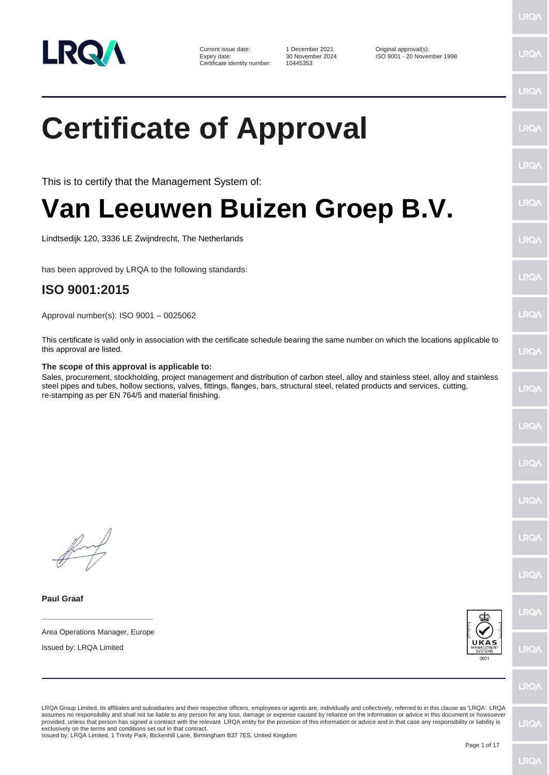

**Paul Graaf**

Current issue date: 1 December 2021 Current issue date: 1 December 2021 Current issue date:  $\frac{30 \text{ November } 2024}$  ISO 9001 - 20 Nover Certificate identity number:

30 November 2024 ISO 9001 - 20 November 1998<br>10445353

LRQ/

**LRQ/** 

## $PQ$ **Certificate of Approval IRQ/ LRQ** This is to certify that the Management System of: LRQ/ **Van Leeuwen Buizen Groep B.V.** Lindtsedijk 120, 3336 LE Zwijndrecht, The Netherlands LRQ/ has been approved by LRQA to the following standards:  $PQ$ **ISO 9001:2015** LRQ/ Approval number(s): ISO 9001 – 0025062 This certificate is valid only in association with the certificate schedule bearing the same number on which the locations applicable to this approval are listed. LRQ/ **The scope of this approval is applicable to:** Sales, procurement, stockholding, project management and distribution of carbon steel, alloy and stainless steel, alloy and stainless steel pipes and tubes, hollow sections, valves, fittings, flanges, bars, structural steel, related products and services, cutting, LRQ/ re-stamping as per EN 764/5 and material finishing.LRQ/ **IRQ** LRQ/ LRQ/ LRQ/ LRQ/ **\_\_\_\_\_\_\_\_\_\_\_\_\_\_\_\_\_\_\_\_\_\_\_\_** Area Operations Manager, Europe Issued by: LRQA Limited **IRQ/** LRQ/ LRQA Group Limited, its affiliates and subsidiaries and their respective officers, employees or agents are, individually and collectively, referred to in this clause as 'LRQA'. LRQA assumes no responsibility and shall not be liable to any person for any loss, damage or expense caused by reliance on the information or advice in this document or howsoever LRQ/ provided, unless that person has signed a contract with the relevant LRQA entity for the provision of this information or advice and in that case any responsibility or liability is<br>exclusively on the terms and conditions s

Issued by: LRQA Limited, 1 Trinity Park, Bickenhill Lane, Birmingham B37 7ES, United Kingdom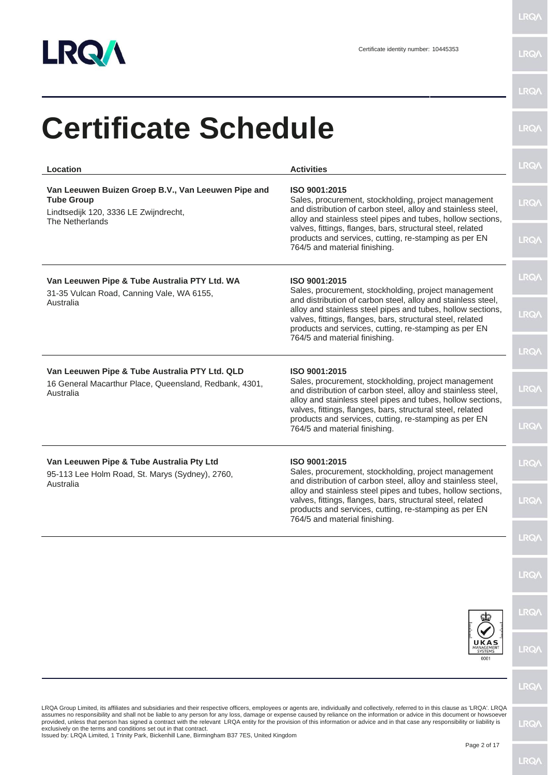

|                                                                                                                                                                                                                                                                                                                                                                                                                                                                                                                                                                                                                                                                                                                                     |                                                                                                                                                                                                                                                                                                                                                              | <b>LRQA</b>  |
|-------------------------------------------------------------------------------------------------------------------------------------------------------------------------------------------------------------------------------------------------------------------------------------------------------------------------------------------------------------------------------------------------------------------------------------------------------------------------------------------------------------------------------------------------------------------------------------------------------------------------------------------------------------------------------------------------------------------------------------|--------------------------------------------------------------------------------------------------------------------------------------------------------------------------------------------------------------------------------------------------------------------------------------------------------------------------------------------------------------|--------------|
| <b>Certificate Schedule</b>                                                                                                                                                                                                                                                                                                                                                                                                                                                                                                                                                                                                                                                                                                         |                                                                                                                                                                                                                                                                                                                                                              | <b>LRQA</b>  |
| Location                                                                                                                                                                                                                                                                                                                                                                                                                                                                                                                                                                                                                                                                                                                            | <b>Activities</b>                                                                                                                                                                                                                                                                                                                                            | <b>LRQA</b>  |
| Van Leeuwen Buizen Groep B.V., Van Leeuwen Pipe and<br><b>Tube Group</b><br>Lindtsedijk 120, 3336 LE Zwijndrecht,<br>The Netherlands                                                                                                                                                                                                                                                                                                                                                                                                                                                                                                                                                                                                | ISO 9001:2015<br>Sales, procurement, stockholding, project management<br>and distribution of carbon steel, alloy and stainless steel,<br>alloy and stainless steel pipes and tubes, hollow sections,                                                                                                                                                         | <b>LRQA</b>  |
|                                                                                                                                                                                                                                                                                                                                                                                                                                                                                                                                                                                                                                                                                                                                     | valves, fittings, flanges, bars, structural steel, related<br>products and services, cutting, re-stamping as per EN<br>764/5 and material finishing.                                                                                                                                                                                                         | <b>LRQA</b>  |
| Van Leeuwen Pipe & Tube Australia PTY Ltd. WA<br>31-35 Vulcan Road, Canning Vale, WA 6155,                                                                                                                                                                                                                                                                                                                                                                                                                                                                                                                                                                                                                                          | ISO 9001:2015<br>Sales, procurement, stockholding, project management<br>and distribution of carbon steel, alloy and stainless steel,                                                                                                                                                                                                                        | <b>LRQA</b>  |
| Australia                                                                                                                                                                                                                                                                                                                                                                                                                                                                                                                                                                                                                                                                                                                           | alloy and stainless steel pipes and tubes, hollow sections,<br>valves, fittings, flanges, bars, structural steel, related<br>products and services, cutting, re-stamping as per EN<br>764/5 and material finishing.                                                                                                                                          | <b>LRQA</b>  |
|                                                                                                                                                                                                                                                                                                                                                                                                                                                                                                                                                                                                                                                                                                                                     |                                                                                                                                                                                                                                                                                                                                                              | <b>LRQ/</b>  |
| Van Leeuwen Pipe & Tube Australia PTY Ltd. QLD<br>16 General Macarthur Place, Queensland, Redbank, 4301,<br>Australia                                                                                                                                                                                                                                                                                                                                                                                                                                                                                                                                                                                                               | ISO 9001:2015<br>Sales, procurement, stockholding, project management<br>and distribution of carbon steel, alloy and stainless steel,<br>alloy and stainless steel pipes and tubes, hollow sections,<br>valves, fittings, flanges, bars, structural steel, related<br>products and services, cutting, re-stamping as per EN<br>764/5 and material finishing. | <b>LRQA</b>  |
|                                                                                                                                                                                                                                                                                                                                                                                                                                                                                                                                                                                                                                                                                                                                     |                                                                                                                                                                                                                                                                                                                                                              | <b>LRQA</b>  |
| Van Leeuwen Pipe & Tube Australia Pty Ltd<br>95-113 Lee Holm Road, St. Marys (Sydney), 2760,                                                                                                                                                                                                                                                                                                                                                                                                                                                                                                                                                                                                                                        | ISO 9001:2015<br>Sales, procurement, stockholding, project management<br>and distribution of carbon steel, alloy and stainless steel,                                                                                                                                                                                                                        | <b>LRQA</b>  |
| Australia                                                                                                                                                                                                                                                                                                                                                                                                                                                                                                                                                                                                                                                                                                                           | alloy and stainless steel pipes and tubes, hollow sections,<br>valves, fittings, flanges, bars, structural steel, related<br>products and services, cutting, re-stamping as per EN<br>764/5 and material finishing.                                                                                                                                          | <b>LRQ/\</b> |
|                                                                                                                                                                                                                                                                                                                                                                                                                                                                                                                                                                                                                                                                                                                                     |                                                                                                                                                                                                                                                                                                                                                              | <b>LRQA</b>  |
|                                                                                                                                                                                                                                                                                                                                                                                                                                                                                                                                                                                                                                                                                                                                     |                                                                                                                                                                                                                                                                                                                                                              | <b>LRQA</b>  |
|                                                                                                                                                                                                                                                                                                                                                                                                                                                                                                                                                                                                                                                                                                                                     |                                                                                                                                                                                                                                                                                                                                                              | <b>LRQA</b>  |
|                                                                                                                                                                                                                                                                                                                                                                                                                                                                                                                                                                                                                                                                                                                                     | UKAS<br>MANAGEMENT<br>SYSTEMS<br>0001                                                                                                                                                                                                                                                                                                                        | <b>LRQA</b>  |
|                                                                                                                                                                                                                                                                                                                                                                                                                                                                                                                                                                                                                                                                                                                                     |                                                                                                                                                                                                                                                                                                                                                              | <b>LRQA</b>  |
| LRQA Group Limited, its affiliates and subsidiaries and their respective officers, employees or agents are, individually and collectively, referred to in this clause as 'LRQA'. LRQA<br>assumes no responsibility and shall not be liable to any person for any loss, damage or expense caused by reliance on the information or advice in this document or howsoever<br>provided, unless that person has signed a contract with the relevant LRQA entity for the provision of this information or advice and in that case any responsibility or liability is<br>exclusively on the terms and conditions set out in that contract.<br>Issued by: LRQA Limited, 1 Trinity Park, Bickenhill Lane, Birmingham B37 7ES, United Kingdom |                                                                                                                                                                                                                                                                                                                                                              | <b>LRQA</b>  |
|                                                                                                                                                                                                                                                                                                                                                                                                                                                                                                                                                                                                                                                                                                                                     | Page 2 of 17                                                                                                                                                                                                                                                                                                                                                 |              |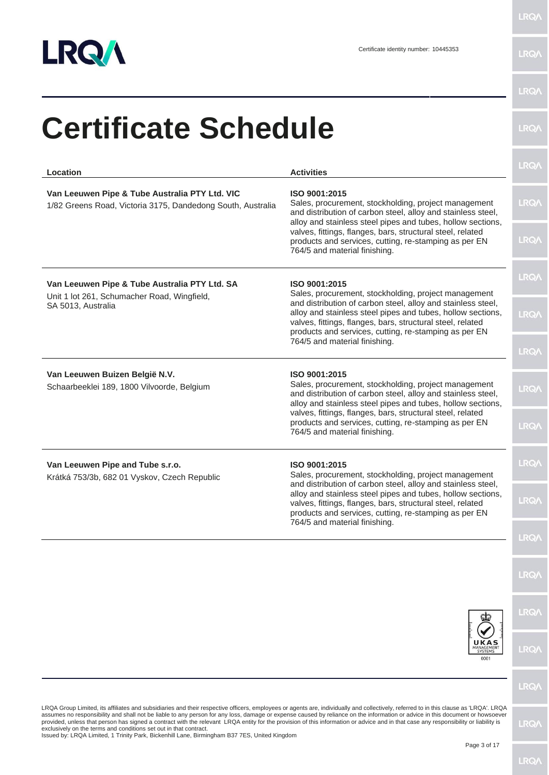

|                                                                                                                                                                                                                                                                                                                                                                                                                                                                                                                                                                                                                                                                                                                                     |                                                                                                                                                                                                                                                                                                                                                              | <b>LRQA</b> |
|-------------------------------------------------------------------------------------------------------------------------------------------------------------------------------------------------------------------------------------------------------------------------------------------------------------------------------------------------------------------------------------------------------------------------------------------------------------------------------------------------------------------------------------------------------------------------------------------------------------------------------------------------------------------------------------------------------------------------------------|--------------------------------------------------------------------------------------------------------------------------------------------------------------------------------------------------------------------------------------------------------------------------------------------------------------------------------------------------------------|-------------|
| Location                                                                                                                                                                                                                                                                                                                                                                                                                                                                                                                                                                                                                                                                                                                            | <b>Activities</b>                                                                                                                                                                                                                                                                                                                                            |             |
| Van Leeuwen Pipe & Tube Australia PTY Ltd. VIC<br>ISO 9001:2015<br>1/82 Greens Road, Victoria 3175, Dandedong South, Australia                                                                                                                                                                                                                                                                                                                                                                                                                                                                                                                                                                                                      | Sales, procurement, stockholding, project management<br>and distribution of carbon steel, alloy and stainless steel,<br>alloy and stainless steel pipes and tubes, hollow sections,                                                                                                                                                                          | LRQ/        |
|                                                                                                                                                                                                                                                                                                                                                                                                                                                                                                                                                                                                                                                                                                                                     | valves, fittings, flanges, bars, structural steel, related<br>products and services, cutting, re-stamping as per EN<br>764/5 and material finishing.                                                                                                                                                                                                         | <b>LRQA</b> |
| Van Leeuwen Pipe & Tube Australia PTY Ltd. SA<br>Unit 1 lot 261, Schumacher Road, Wingfield,                                                                                                                                                                                                                                                                                                                                                                                                                                                                                                                                                                                                                                        | ISO 9001:2015<br>Sales, procurement, stockholding, project management                                                                                                                                                                                                                                                                                        | <b>LRQ/</b> |
| SA 5013, Australia                                                                                                                                                                                                                                                                                                                                                                                                                                                                                                                                                                                                                                                                                                                  | and distribution of carbon steel, alloy and stainless steel,<br>alloy and stainless steel pipes and tubes, hollow sections,<br>valves, fittings, flanges, bars, structural steel, related<br>products and services, cutting, re-stamping as per EN<br>764/5 and material finishing.                                                                          | <b>LRQA</b> |
|                                                                                                                                                                                                                                                                                                                                                                                                                                                                                                                                                                                                                                                                                                                                     |                                                                                                                                                                                                                                                                                                                                                              | <b>LRQ/</b> |
| Van Leeuwen Buizen België N.V.<br>Schaarbeeklei 189, 1800 Vilvoorde, Belgium                                                                                                                                                                                                                                                                                                                                                                                                                                                                                                                                                                                                                                                        | ISO 9001:2015<br>Sales, procurement, stockholding, project management<br>and distribution of carbon steel, alloy and stainless steel,<br>alloy and stainless steel pipes and tubes, hollow sections,<br>valves, fittings, flanges, bars, structural steel, related<br>products and services, cutting, re-stamping as per EN<br>764/5 and material finishing. | <b>LRQ/</b> |
|                                                                                                                                                                                                                                                                                                                                                                                                                                                                                                                                                                                                                                                                                                                                     |                                                                                                                                                                                                                                                                                                                                                              | <b>LRQ/</b> |
| ISO 9001:2015<br>Van Leeuwen Pipe and Tube s.r.o.<br>Sales, procurement, stockholding, project management<br>Krátká 753/3b, 682 01 Vyskov, Czech Republic                                                                                                                                                                                                                                                                                                                                                                                                                                                                                                                                                                           | and distribution of carbon steel, alloy and stainless steel,                                                                                                                                                                                                                                                                                                 | LRQ/        |
|                                                                                                                                                                                                                                                                                                                                                                                                                                                                                                                                                                                                                                                                                                                                     | alloy and stainless steel pipes and tubes, hollow sections,<br>valves, fittings, flanges, bars, structural steel, related<br>products and services, cutting, re-stamping as per EN<br>764/5 and material finishing.                                                                                                                                          | <b>LRQ/</b> |
|                                                                                                                                                                                                                                                                                                                                                                                                                                                                                                                                                                                                                                                                                                                                     |                                                                                                                                                                                                                                                                                                                                                              | <b>LRQ/</b> |
|                                                                                                                                                                                                                                                                                                                                                                                                                                                                                                                                                                                                                                                                                                                                     |                                                                                                                                                                                                                                                                                                                                                              | <b>LRQ/</b> |
|                                                                                                                                                                                                                                                                                                                                                                                                                                                                                                                                                                                                                                                                                                                                     |                                                                                                                                                                                                                                                                                                                                                              | <b>LRQ/</b> |
|                                                                                                                                                                                                                                                                                                                                                                                                                                                                                                                                                                                                                                                                                                                                     | ANAGEMENT<br>0001                                                                                                                                                                                                                                                                                                                                            | <b>LRQ/</b> |
|                                                                                                                                                                                                                                                                                                                                                                                                                                                                                                                                                                                                                                                                                                                                     |                                                                                                                                                                                                                                                                                                                                                              | <b>LRQA</b> |
| LRQA Group Limited, its affiliates and subsidiaries and their respective officers, employees or agents are, individually and collectively, referred to in this clause as 'LRQA'. LRQA<br>assumes no responsibility and shall not be liable to any person for any loss, damage or expense caused by reliance on the information or advice in this document or howsoever<br>provided, unless that person has signed a contract with the relevant LRQA entity for the provision of this information or advice and in that case any responsibility or liability is<br>exclusively on the terms and conditions set out in that contract.<br>Issued by: LRQA Limited, 1 Trinity Park, Bickenhill Lane, Birmingham B37 7ES, United Kingdom |                                                                                                                                                                                                                                                                                                                                                              | LRQ/        |
|                                                                                                                                                                                                                                                                                                                                                                                                                                                                                                                                                                                                                                                                                                                                     | Page 3 of 17                                                                                                                                                                                                                                                                                                                                                 |             |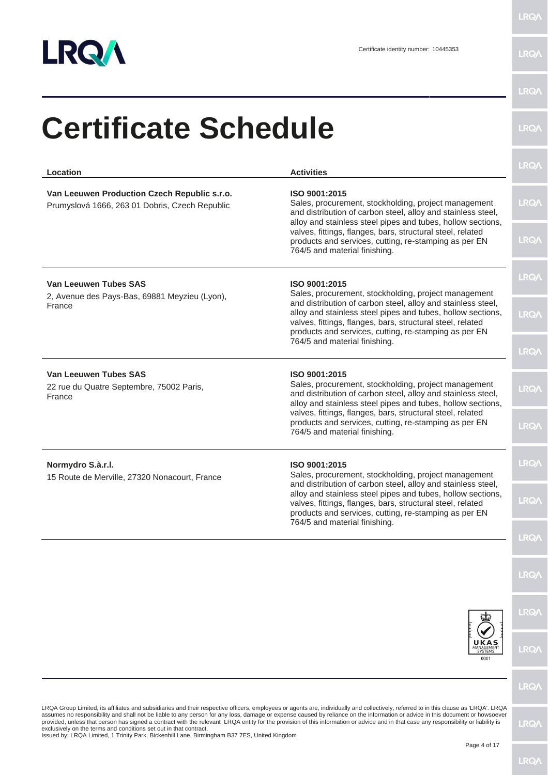

|                                                                                                                                                                   |                                                                                                                                                                                                                                                                                                                                                                        | <b>LRQA</b> |
|-------------------------------------------------------------------------------------------------------------------------------------------------------------------|------------------------------------------------------------------------------------------------------------------------------------------------------------------------------------------------------------------------------------------------------------------------------------------------------------------------------------------------------------------------|-------------|
| Location                                                                                                                                                          | <b>Activities</b>                                                                                                                                                                                                                                                                                                                                                      |             |
| Van Leeuwen Production Czech Republic s.r.o.<br>Prumyslová 1666, 263 01 Dobris, Czech Republic                                                                    | ISO 9001:2015<br>Sales, procurement, stockholding, project management<br>and distribution of carbon steel, alloy and stainless steel,<br>alloy and stainless steel pipes and tubes, hollow sections,                                                                                                                                                                   | <b>LRQA</b> |
|                                                                                                                                                                   | valves, fittings, flanges, bars, structural steel, related<br>products and services, cutting, re-stamping as per EN<br>764/5 and material finishing.                                                                                                                                                                                                                   | <b>LRQA</b> |
| Van Leeuwen Tubes SAS<br>2, Avenue des Pays-Bas, 69881 Meyzieu (Lyon),                                                                                            | ISO 9001:2015<br>Sales, procurement, stockholding, project management                                                                                                                                                                                                                                                                                                  | <b>LRQA</b> |
| France                                                                                                                                                            | and distribution of carbon steel, alloy and stainless steel,<br>alloy and stainless steel pipes and tubes, hollow sections,<br>valves, fittings, flanges, bars, structural steel, related<br>products and services, cutting, re-stamping as per EN                                                                                                                     | <b>LRQA</b> |
|                                                                                                                                                                   | 764/5 and material finishing.                                                                                                                                                                                                                                                                                                                                          | <b>LRQA</b> |
| <b>Van Leeuwen Tubes SAS</b><br>22 rue du Quatre Septembre, 75002 Paris,<br>France                                                                                | ISO 9001:2015<br>Sales, procurement, stockholding, project management<br>and distribution of carbon steel, alloy and stainless steel,<br>alloy and stainless steel pipes and tubes, hollow sections,                                                                                                                                                                   | <b>LRQA</b> |
|                                                                                                                                                                   | valves, fittings, flanges, bars, structural steel, related<br>products and services, cutting, re-stamping as per EN<br>764/5 and material finishing.                                                                                                                                                                                                                   | <b>LRQA</b> |
| Normydro S.à.r.l.<br>ISO 9001:2015<br>Sales, procurement, stockholding, project management<br>15 Route de Merville, 27320 Nonacourt, France                       | <b>LRQA</b>                                                                                                                                                                                                                                                                                                                                                            |             |
|                                                                                                                                                                   | and distribution of carbon steel, alloy and stainless steel,<br>alloy and stainless steel pipes and tubes, hollow sections,<br>valves, fittings, flanges, bars, structural steel, related<br>products and services, cutting, re-stamping as per EN<br>764/5 and material finishing.                                                                                    | <b>LRQA</b> |
|                                                                                                                                                                   |                                                                                                                                                                                                                                                                                                                                                                        | <b>LRQA</b> |
|                                                                                                                                                                   |                                                                                                                                                                                                                                                                                                                                                                        | <b>LRQA</b> |
|                                                                                                                                                                   |                                                                                                                                                                                                                                                                                                                                                                        | <b>LRQA</b> |
|                                                                                                                                                                   | JKAS<br>SYSTEMS<br>0001                                                                                                                                                                                                                                                                                                                                                | <b>LRQA</b> |
|                                                                                                                                                                   |                                                                                                                                                                                                                                                                                                                                                                        | <b>LRQA</b> |
|                                                                                                                                                                   | LRQA Group Limited, its affiliates and subsidiaries and their respective officers, employees or agents are, individually and collectively, referred to in this clause as 'LRQA'. LRQA<br>assumes no responsibility and shall not be liable to any person for any loss, damage or expense caused by reliance on the information or advice in this document or howsoever |             |
| exclusively on the terms and conditions set out in that contract.<br>Issued by: LRQA Limited, 1 Trinity Park, Bickenhill Lane, Birmingham B37 7ES, United Kingdom | provided, unless that person has signed a contract with the relevant LRQA entity for the provision of this information or advice and in that case any responsibility or liability is                                                                                                                                                                                   | <b>LRQA</b> |
|                                                                                                                                                                   | Page 4 of 17                                                                                                                                                                                                                                                                                                                                                           |             |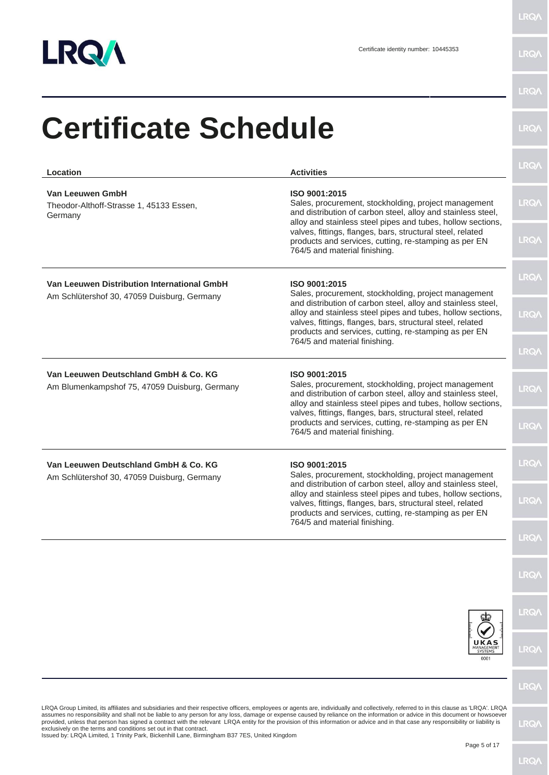

| Location                                                                                                                                                          | <b>Activities</b>                                                                                                                                                                                                                                                                                                                                                                                                                                                                                                                                              | <b>LRQA</b>  |
|-------------------------------------------------------------------------------------------------------------------------------------------------------------------|----------------------------------------------------------------------------------------------------------------------------------------------------------------------------------------------------------------------------------------------------------------------------------------------------------------------------------------------------------------------------------------------------------------------------------------------------------------------------------------------------------------------------------------------------------------|--------------|
| Van Leeuwen GmbH<br>Theodor-Althoff-Strasse 1, 45133 Essen,<br>Germany                                                                                            | ISO 9001:2015<br>Sales, procurement, stockholding, project management<br>and distribution of carbon steel, alloy and stainless steel,<br>alloy and stainless steel pipes and tubes, hollow sections,                                                                                                                                                                                                                                                                                                                                                           | LRQ/         |
|                                                                                                                                                                   | valves, fittings, flanges, bars, structural steel, related<br>products and services, cutting, re-stamping as per EN<br>764/5 and material finishing.                                                                                                                                                                                                                                                                                                                                                                                                           | <b>LRQA</b>  |
| Van Leeuwen Distribution International GmbH<br>Am Schlütershof 30, 47059 Duisburg, Germany                                                                        | ISO 9001:2015<br>Sales, procurement, stockholding, project management                                                                                                                                                                                                                                                                                                                                                                                                                                                                                          | <b>LRQA</b>  |
|                                                                                                                                                                   | and distribution of carbon steel, alloy and stainless steel,<br>alloy and stainless steel pipes and tubes, hollow sections,<br>valves, fittings, flanges, bars, structural steel, related<br>products and services, cutting, re-stamping as per EN                                                                                                                                                                                                                                                                                                             | <b>LRQA</b>  |
|                                                                                                                                                                   | 764/5 and material finishing.                                                                                                                                                                                                                                                                                                                                                                                                                                                                                                                                  | <b>LRQA</b>  |
| Van Leeuwen Deutschland GmbH & Co. KG<br>Am Blumenkampshof 75, 47059 Duisburg, Germany                                                                            | ISO 9001:2015<br>Sales, procurement, stockholding, project management<br>and distribution of carbon steel, alloy and stainless steel,<br>alloy and stainless steel pipes and tubes, hollow sections,                                                                                                                                                                                                                                                                                                                                                           | <b>LRQA</b>  |
|                                                                                                                                                                   | valves, fittings, flanges, bars, structural steel, related<br>products and services, cutting, re-stamping as per EN<br>764/5 and material finishing.                                                                                                                                                                                                                                                                                                                                                                                                           | <b>LRQA</b>  |
| Van Leeuwen Deutschland GmbH & Co. KG<br>Am Schlütershof 30, 47059 Duisburg, Germany                                                                              | ISO 9001:2015<br>Sales, procurement, stockholding, project management                                                                                                                                                                                                                                                                                                                                                                                                                                                                                          | <b>LRQA</b>  |
|                                                                                                                                                                   | and distribution of carbon steel, alloy and stainless steel,<br>alloy and stainless steel pipes and tubes, hollow sections,<br>valves, fittings, flanges, bars, structural steel, related<br>products and services, cutting, re-stamping as per EN<br>764/5 and material finishing.                                                                                                                                                                                                                                                                            | <b>LRQ/</b>  |
|                                                                                                                                                                   |                                                                                                                                                                                                                                                                                                                                                                                                                                                                                                                                                                | <b>LRQA</b>  |
|                                                                                                                                                                   |                                                                                                                                                                                                                                                                                                                                                                                                                                                                                                                                                                | <b>LRQA</b>  |
|                                                                                                                                                                   |                                                                                                                                                                                                                                                                                                                                                                                                                                                                                                                                                                | <b>LRQ/</b>  |
|                                                                                                                                                                   | UKAS<br>MANAGEMENT<br>SYSTEMS<br>0001                                                                                                                                                                                                                                                                                                                                                                                                                                                                                                                          | <b>LRQA</b>  |
|                                                                                                                                                                   |                                                                                                                                                                                                                                                                                                                                                                                                                                                                                                                                                                | <b>LRQ/</b>  |
| exclusively on the terms and conditions set out in that contract.<br>Issued by: LRQA Limited, 1 Trinity Park, Bickenhill Lane, Birmingham B37 7ES, United Kingdom | LRQA Group Limited, its affiliates and subsidiaries and their respective officers, employees or agents are, individually and collectively, referred to in this clause as 'LRQA'. LRQA<br>assumes no responsibility and shall not be liable to any person for any loss, damage or expense caused by reliance on the information or advice in this document or howsoever<br>provided, unless that person has signed a contract with the relevant LRQA entity for the provision of this information or advice and in that case any responsibility or liability is | <b>LRQ/\</b> |
|                                                                                                                                                                   | Page 5 of 17                                                                                                                                                                                                                                                                                                                                                                                                                                                                                                                                                   |              |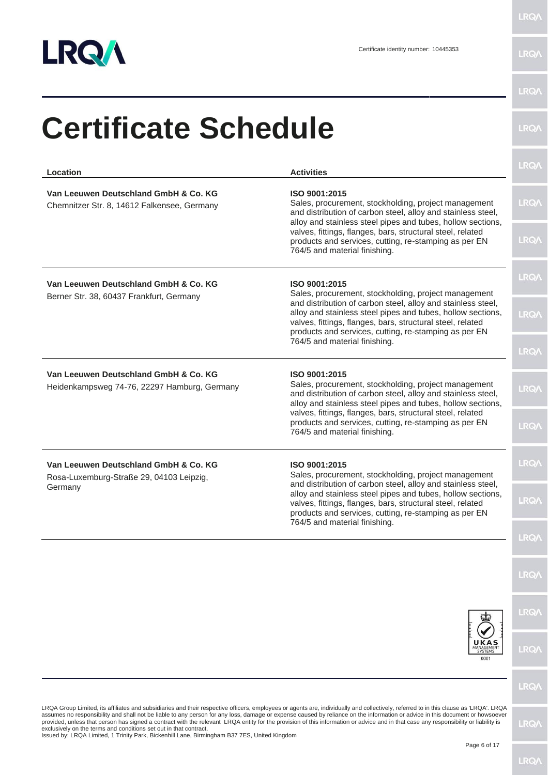

| Location                                                                                                                                                          | <b>Activities</b>                                                                                                                                                                                                                                                                                                                                                                                                                                                                                                                                              | <b>LRQA</b> |
|-------------------------------------------------------------------------------------------------------------------------------------------------------------------|----------------------------------------------------------------------------------------------------------------------------------------------------------------------------------------------------------------------------------------------------------------------------------------------------------------------------------------------------------------------------------------------------------------------------------------------------------------------------------------------------------------------------------------------------------------|-------------|
| Van Leeuwen Deutschland GmbH & Co. KG<br>Chemnitzer Str. 8, 14612 Falkensee, Germany                                                                              | ISO 9001:2015<br>Sales, procurement, stockholding, project management<br>and distribution of carbon steel, alloy and stainless steel,<br>alloy and stainless steel pipes and tubes, hollow sections,                                                                                                                                                                                                                                                                                                                                                           | <b>LRQA</b> |
|                                                                                                                                                                   | valves, fittings, flanges, bars, structural steel, related<br>products and services, cutting, re-stamping as per EN<br>764/5 and material finishing.                                                                                                                                                                                                                                                                                                                                                                                                           | <b>LRQA</b> |
| Van Leeuwen Deutschland GmbH & Co. KG<br>Berner Str. 38, 60437 Frankfurt, Germany                                                                                 | ISO 9001:2015<br>Sales, procurement, stockholding, project management                                                                                                                                                                                                                                                                                                                                                                                                                                                                                          | <b>LRQA</b> |
|                                                                                                                                                                   | and distribution of carbon steel, alloy and stainless steel,<br>alloy and stainless steel pipes and tubes, hollow sections,<br>valves, fittings, flanges, bars, structural steel, related<br>products and services, cutting, re-stamping as per EN                                                                                                                                                                                                                                                                                                             | <b>LRQA</b> |
|                                                                                                                                                                   | 764/5 and material finishing.                                                                                                                                                                                                                                                                                                                                                                                                                                                                                                                                  | <b>LRQA</b> |
| Van Leeuwen Deutschland GmbH & Co. KG<br>Heidenkampsweg 74-76, 22297 Hamburg, Germany                                                                             | ISO 9001:2015<br>Sales, procurement, stockholding, project management<br>and distribution of carbon steel, alloy and stainless steel,<br>alloy and stainless steel pipes and tubes, hollow sections,                                                                                                                                                                                                                                                                                                                                                           | <b>LRQA</b> |
|                                                                                                                                                                   | valves, fittings, flanges, bars, structural steel, related<br>products and services, cutting, re-stamping as per EN<br>764/5 and material finishing.                                                                                                                                                                                                                                                                                                                                                                                                           | <b>LRQA</b> |
| Van Leeuwen Deutschland GmbH & Co. KG<br>Rosa-Luxemburg-Straße 29, 04103 Leipzig,                                                                                 | ISO 9001:2015<br>Sales, procurement, stockholding, project management                                                                                                                                                                                                                                                                                                                                                                                                                                                                                          | <b>LRQA</b> |
| Germany                                                                                                                                                           | and distribution of carbon steel, alloy and stainless steel,<br>alloy and stainless steel pipes and tubes, hollow sections,<br>valves, fittings, flanges, bars, structural steel, related<br>products and services, cutting, re-stamping as per EN                                                                                                                                                                                                                                                                                                             | <b>LRQA</b> |
|                                                                                                                                                                   | 764/5 and material finishing.                                                                                                                                                                                                                                                                                                                                                                                                                                                                                                                                  |             |
|                                                                                                                                                                   |                                                                                                                                                                                                                                                                                                                                                                                                                                                                                                                                                                | <b>LRQA</b> |
|                                                                                                                                                                   |                                                                                                                                                                                                                                                                                                                                                                                                                                                                                                                                                                | <b>LRQA</b> |
|                                                                                                                                                                   | UKAS<br>MANAGEMENT<br>0001                                                                                                                                                                                                                                                                                                                                                                                                                                                                                                                                     | <b>LRQA</b> |
|                                                                                                                                                                   |                                                                                                                                                                                                                                                                                                                                                                                                                                                                                                                                                                | <b>LRQA</b> |
| exclusively on the terms and conditions set out in that contract.<br>Issued by: LRQA Limited, 1 Trinity Park, Bickenhill Lane, Birmingham B37 7ES, United Kingdom | LRQA Group Limited, its affiliates and subsidiaries and their respective officers, employees or agents are, individually and collectively, referred to in this clause as 'LRQA'. LRQA<br>assumes no responsibility and shall not be liable to any person for any loss, damage or expense caused by reliance on the information or advice in this document or howsoever<br>provided, unless that person has signed a contract with the relevant LRQA entity for the provision of this information or advice and in that case any responsibility or liability is | <b>LRQA</b> |
|                                                                                                                                                                   | Page 6 of 17                                                                                                                                                                                                                                                                                                                                                                                                                                                                                                                                                   |             |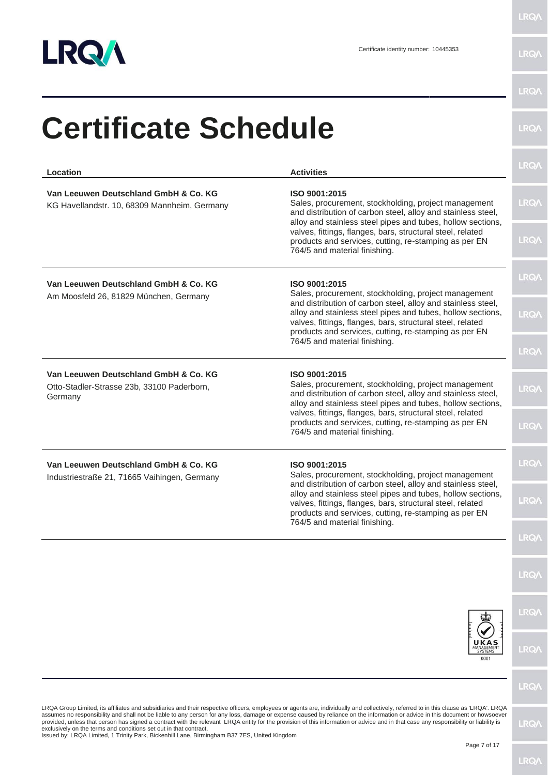

| Location                                                                                                                                                          | <b>Activities</b>                                                                                                                                                                                                                                                                                                                                                                                                                                                                                                                                              | <b>LRQA</b>  |
|-------------------------------------------------------------------------------------------------------------------------------------------------------------------|----------------------------------------------------------------------------------------------------------------------------------------------------------------------------------------------------------------------------------------------------------------------------------------------------------------------------------------------------------------------------------------------------------------------------------------------------------------------------------------------------------------------------------------------------------------|--------------|
| Van Leeuwen Deutschland GmbH & Co. KG<br>KG Havellandstr. 10, 68309 Mannheim, Germany                                                                             | ISO 9001:2015<br>Sales, procurement, stockholding, project management<br>and distribution of carbon steel, alloy and stainless steel,<br>alloy and stainless steel pipes and tubes, hollow sections,                                                                                                                                                                                                                                                                                                                                                           | <b>LRQA</b>  |
|                                                                                                                                                                   | valves, fittings, flanges, bars, structural steel, related<br>products and services, cutting, re-stamping as per EN<br>764/5 and material finishing.                                                                                                                                                                                                                                                                                                                                                                                                           | <b>LRQA</b>  |
| Van Leeuwen Deutschland GmbH & Co. KG<br>Am Moosfeld 26, 81829 München, Germany                                                                                   | ISO 9001:2015<br>Sales, procurement, stockholding, project management                                                                                                                                                                                                                                                                                                                                                                                                                                                                                          | <b>LRQA</b>  |
|                                                                                                                                                                   | and distribution of carbon steel, alloy and stainless steel,<br>alloy and stainless steel pipes and tubes, hollow sections,<br>valves, fittings, flanges, bars, structural steel, related<br>products and services, cutting, re-stamping as per EN                                                                                                                                                                                                                                                                                                             | <b>LRQA</b>  |
|                                                                                                                                                                   | 764/5 and material finishing.                                                                                                                                                                                                                                                                                                                                                                                                                                                                                                                                  | <b>LRQA</b>  |
| Van Leeuwen Deutschland GmbH & Co. KG<br>Otto-Stadler-Strasse 23b, 33100 Paderborn,<br>Germany                                                                    | ISO 9001:2015<br>Sales, procurement, stockholding, project management<br>and distribution of carbon steel, alloy and stainless steel,<br>alloy and stainless steel pipes and tubes, hollow sections,                                                                                                                                                                                                                                                                                                                                                           | <b>LRQA</b>  |
|                                                                                                                                                                   | valves, fittings, flanges, bars, structural steel, related<br>products and services, cutting, re-stamping as per EN<br>764/5 and material finishing.                                                                                                                                                                                                                                                                                                                                                                                                           | <b>LRQA</b>  |
| Van Leeuwen Deutschland GmbH & Co. KG<br>Industriestraße 21, 71665 Vaihingen, Germany                                                                             | ISO 9001:2015<br>Sales, procurement, stockholding, project management                                                                                                                                                                                                                                                                                                                                                                                                                                                                                          | <b>LRQA</b>  |
|                                                                                                                                                                   | and distribution of carbon steel, alloy and stainless steel,<br>alloy and stainless steel pipes and tubes, hollow sections,<br>valves, fittings, flanges, bars, structural steel, related<br>products and services, cutting, re-stamping as per EN                                                                                                                                                                                                                                                                                                             | <b>LRQ/\</b> |
|                                                                                                                                                                   | 764/5 and material finishing.                                                                                                                                                                                                                                                                                                                                                                                                                                                                                                                                  | <b>LRQA</b>  |
|                                                                                                                                                                   |                                                                                                                                                                                                                                                                                                                                                                                                                                                                                                                                                                | <b>LRQA</b>  |
|                                                                                                                                                                   |                                                                                                                                                                                                                                                                                                                                                                                                                                                                                                                                                                | <b>LRQA</b>  |
|                                                                                                                                                                   | UKAS<br>MANAGEMENT<br>0001                                                                                                                                                                                                                                                                                                                                                                                                                                                                                                                                     | <b>LRQA</b>  |
|                                                                                                                                                                   |                                                                                                                                                                                                                                                                                                                                                                                                                                                                                                                                                                | <b>LRQA</b>  |
| exclusively on the terms and conditions set out in that contract.<br>Issued by: LRQA Limited, 1 Trinity Park, Bickenhill Lane, Birmingham B37 7ES, United Kingdom | LRQA Group Limited, its affiliates and subsidiaries and their respective officers, employees or agents are, individually and collectively, referred to in this clause as 'LRQA'. LRQA<br>assumes no responsibility and shall not be liable to any person for any loss, damage or expense caused by reliance on the information or advice in this document or howsoever<br>provided, unless that person has signed a contract with the relevant LRQA entity for the provision of this information or advice and in that case any responsibility or liability is | <b>LRQ/</b>  |
|                                                                                                                                                                   | Page 7 of 17                                                                                                                                                                                                                                                                                                                                                                                                                                                                                                                                                   |              |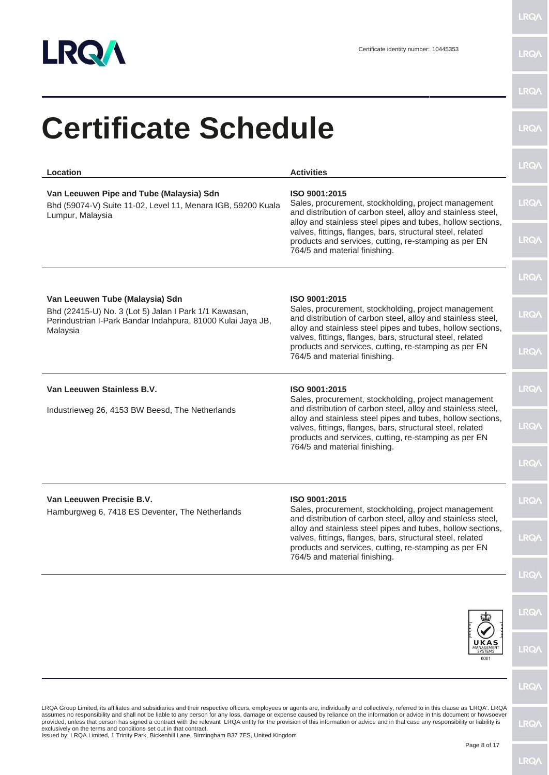

| <b>Certificate Schedule</b>                                                                                                                                                                                                                                                                                                                                                                                                                                                                                                                                                                                                                                                                                                         |                                                                                                                                                                                                                                                    | <b>LRQA</b> |
|-------------------------------------------------------------------------------------------------------------------------------------------------------------------------------------------------------------------------------------------------------------------------------------------------------------------------------------------------------------------------------------------------------------------------------------------------------------------------------------------------------------------------------------------------------------------------------------------------------------------------------------------------------------------------------------------------------------------------------------|----------------------------------------------------------------------------------------------------------------------------------------------------------------------------------------------------------------------------------------------------|-------------|
| <b>Location</b>                                                                                                                                                                                                                                                                                                                                                                                                                                                                                                                                                                                                                                                                                                                     | <b>Activities</b>                                                                                                                                                                                                                                  | <b>LRQA</b> |
| Van Leeuwen Pipe and Tube (Malaysia) Sdn<br>Bhd (59074-V) Suite 11-02, Level 11, Menara IGB, 59200 Kuala<br>Lumpur, Malaysia                                                                                                                                                                                                                                                                                                                                                                                                                                                                                                                                                                                                        | ISO 9001:2015<br>Sales, procurement, stockholding, project management<br>and distribution of carbon steel, alloy and stainless steel,                                                                                                              | <b>LRQA</b> |
|                                                                                                                                                                                                                                                                                                                                                                                                                                                                                                                                                                                                                                                                                                                                     | alloy and stainless steel pipes and tubes, hollow sections,<br>valves, fittings, flanges, bars, structural steel, related<br>products and services, cutting, re-stamping as per EN<br>764/5 and material finishing.                                | <b>LRQA</b> |
|                                                                                                                                                                                                                                                                                                                                                                                                                                                                                                                                                                                                                                                                                                                                     |                                                                                                                                                                                                                                                    | <b>LRQA</b> |
| Van Leeuwen Tube (Malaysia) Sdn<br>Bhd (22415-U) No. 3 (Lot 5) Jalan I Park 1/1 Kawasan,<br>Perindustrian I-Park Bandar Indahpura, 81000 Kulai Jaya JB,<br>Malaysia                                                                                                                                                                                                                                                                                                                                                                                                                                                                                                                                                                 | ISO 9001:2015<br>Sales, procurement, stockholding, project management<br>and distribution of carbon steel, alloy and stainless steel,<br>alloy and stainless steel pipes and tubes, hollow sections,                                               | <b>LRQA</b> |
|                                                                                                                                                                                                                                                                                                                                                                                                                                                                                                                                                                                                                                                                                                                                     | valves, fittings, flanges, bars, structural steel, related<br>products and services, cutting, re-stamping as per EN<br>764/5 and material finishing.                                                                                               | <b>LRQA</b> |
| Van Leeuwen Stainless B.V.                                                                                                                                                                                                                                                                                                                                                                                                                                                                                                                                                                                                                                                                                                          | ISO 9001:2015<br>Sales, procurement, stockholding, project management                                                                                                                                                                              | <b>LRQA</b> |
| Industrieweg 26, 4153 BW Beesd, The Netherlands                                                                                                                                                                                                                                                                                                                                                                                                                                                                                                                                                                                                                                                                                     | and distribution of carbon steel, alloy and stainless steel,<br>alloy and stainless steel pipes and tubes, hollow sections,<br>valves, fittings, flanges, bars, structural steel, related<br>products and services, cutting, re-stamping as per EN | <b>LRQA</b> |
|                                                                                                                                                                                                                                                                                                                                                                                                                                                                                                                                                                                                                                                                                                                                     | 764/5 and material finishing.                                                                                                                                                                                                                      | <b>LRQA</b> |
| Van Leeuwen Precisie B.V.<br>Hamburgweg 6, 7418 ES Deventer, The Netherlands                                                                                                                                                                                                                                                                                                                                                                                                                                                                                                                                                                                                                                                        | ISO 9001:2015<br>Sales, procurement, stockholding, project management<br>and distribution of carbon steel, alloy and stainless steel,                                                                                                              | <b>LRQA</b> |
|                                                                                                                                                                                                                                                                                                                                                                                                                                                                                                                                                                                                                                                                                                                                     | alloy and stainless steel pipes and tubes, hollow sections,<br>valves, fittings, flanges, bars, structural steel, related<br>products and services, cutting, re-stamping as per EN                                                                 | <b>LRQA</b> |
|                                                                                                                                                                                                                                                                                                                                                                                                                                                                                                                                                                                                                                                                                                                                     | 764/5 and material finishing.                                                                                                                                                                                                                      | <b>LRQA</b> |
|                                                                                                                                                                                                                                                                                                                                                                                                                                                                                                                                                                                                                                                                                                                                     |                                                                                                                                                                                                                                                    | <b>LRQA</b> |
|                                                                                                                                                                                                                                                                                                                                                                                                                                                                                                                                                                                                                                                                                                                                     | UKAS<br>ANAGEMEI<br>SYSTEMS<br>0001                                                                                                                                                                                                                | <b>LRQA</b> |
|                                                                                                                                                                                                                                                                                                                                                                                                                                                                                                                                                                                                                                                                                                                                     |                                                                                                                                                                                                                                                    | <b>LRQA</b> |
| LRQA Group Limited, its affiliates and subsidiaries and their respective officers, employees or agents are, individually and collectively, referred to in this clause as 'LRQA'. LRQA<br>assumes no responsibility and shall not be liable to any person for any loss, damage or expense caused by reliance on the information or advice in this document or howsoever<br>provided, unless that person has signed a contract with the relevant LRQA entity for the provision of this information or advice and in that case any responsibility or liability is<br>exclusively on the terms and conditions set out in that contract.<br>Issued by: LRQA Limited, 1 Trinity Park, Bickenhill Lane, Birmingham B37 7ES, United Kingdom |                                                                                                                                                                                                                                                    | <b>LRQA</b> |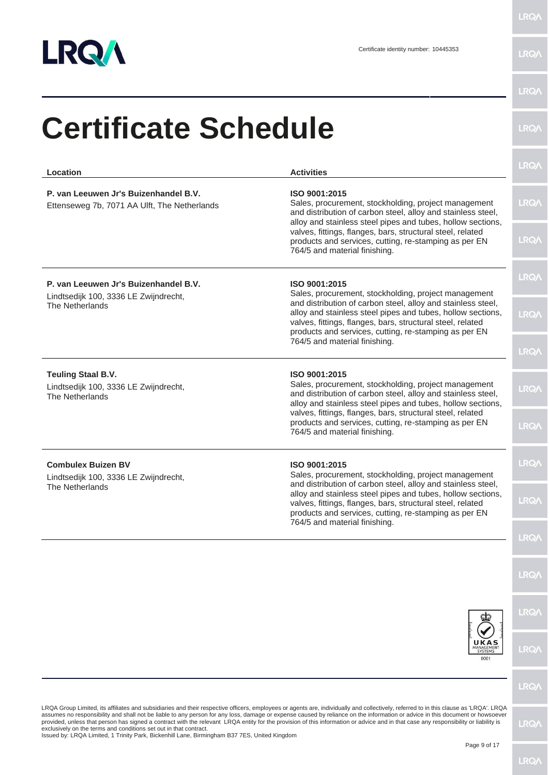

| Location                                                                                                                                                          | <b>Activities</b>                                                                                                                                                                                                                                                                                                                                                                                                                                                                                                                                              | <b>LRQ/</b> |
|-------------------------------------------------------------------------------------------------------------------------------------------------------------------|----------------------------------------------------------------------------------------------------------------------------------------------------------------------------------------------------------------------------------------------------------------------------------------------------------------------------------------------------------------------------------------------------------------------------------------------------------------------------------------------------------------------------------------------------------------|-------------|
| P. van Leeuwen Jr's Buizenhandel B.V.<br>Ettenseweg 7b, 7071 AA Ulft, The Netherlands                                                                             | ISO 9001:2015<br>Sales, procurement, stockholding, project management<br>and distribution of carbon steel, alloy and stainless steel,<br>alloy and stainless steel pipes and tubes, hollow sections,                                                                                                                                                                                                                                                                                                                                                           | <b>LRQA</b> |
|                                                                                                                                                                   | valves, fittings, flanges, bars, structural steel, related<br>products and services, cutting, re-stamping as per EN<br>764/5 and material finishing.                                                                                                                                                                                                                                                                                                                                                                                                           | <b>LRQA</b> |
| P. van Leeuwen Jr's Buizenhandel B.V.<br>Lindtsedijk 100, 3336 LE Zwijndrecht,                                                                                    | ISO 9001:2015<br>Sales, procurement, stockholding, project management                                                                                                                                                                                                                                                                                                                                                                                                                                                                                          | <b>LRQA</b> |
| The Netherlands                                                                                                                                                   | and distribution of carbon steel, alloy and stainless steel,<br>alloy and stainless steel pipes and tubes, hollow sections,<br>valves, fittings, flanges, bars, structural steel, related<br>products and services, cutting, re-stamping as per EN                                                                                                                                                                                                                                                                                                             | LRQ/        |
|                                                                                                                                                                   | 764/5 and material finishing.                                                                                                                                                                                                                                                                                                                                                                                                                                                                                                                                  | <b>LRQA</b> |
| <b>Teuling Staal B.V.</b><br>Lindtsedijk 100, 3336 LE Zwijndrecht,<br>The Netherlands                                                                             | ISO 9001:2015<br>Sales, procurement, stockholding, project management<br>and distribution of carbon steel, alloy and stainless steel,<br>alloy and stainless steel pipes and tubes, hollow sections,                                                                                                                                                                                                                                                                                                                                                           | <b>LRQA</b> |
|                                                                                                                                                                   | valves, fittings, flanges, bars, structural steel, related<br>products and services, cutting, re-stamping as per EN<br>764/5 and material finishing.                                                                                                                                                                                                                                                                                                                                                                                                           | <b>LRQA</b> |
| <b>Combulex Buizen BV</b><br>Lindtsedijk 100, 3336 LE Zwijndrecht,                                                                                                | ISO 9001:2015<br>Sales, procurement, stockholding, project management                                                                                                                                                                                                                                                                                                                                                                                                                                                                                          | <b>LRQA</b> |
| The Netherlands                                                                                                                                                   | and distribution of carbon steel, alloy and stainless steel,<br>alloy and stainless steel pipes and tubes, hollow sections,<br>valves, fittings, flanges, bars, structural steel, related<br>products and services, cutting, re-stamping as per EN<br>764/5 and material finishing.                                                                                                                                                                                                                                                                            | <b>LRQ/</b> |
|                                                                                                                                                                   |                                                                                                                                                                                                                                                                                                                                                                                                                                                                                                                                                                | <b>LRQA</b> |
|                                                                                                                                                                   |                                                                                                                                                                                                                                                                                                                                                                                                                                                                                                                                                                | <b>LRQA</b> |
|                                                                                                                                                                   |                                                                                                                                                                                                                                                                                                                                                                                                                                                                                                                                                                | <b>LRQA</b> |
|                                                                                                                                                                   | UKAS<br>MANAGEMENT<br>SYSTEMS<br>0001                                                                                                                                                                                                                                                                                                                                                                                                                                                                                                                          | <b>LRQA</b> |
|                                                                                                                                                                   |                                                                                                                                                                                                                                                                                                                                                                                                                                                                                                                                                                | <b>LRQA</b> |
| exclusively on the terms and conditions set out in that contract.<br>Issued by: LRQA Limited, 1 Trinity Park, Bickenhill Lane, Birmingham B37 7ES, United Kingdom | LRQA Group Limited, its affiliates and subsidiaries and their respective officers, employees or agents are, individually and collectively, referred to in this clause as 'LRQA'. LRQA<br>assumes no responsibility and shall not be liable to any person for any loss, damage or expense caused by reliance on the information or advice in this document or howsoever<br>provided, unless that person has signed a contract with the relevant LRQA entity for the provision of this information or advice and in that case any responsibility or liability is | <b>LRQ/</b> |
|                                                                                                                                                                   | Page 9 of 17                                                                                                                                                                                                                                                                                                                                                                                                                                                                                                                                                   |             |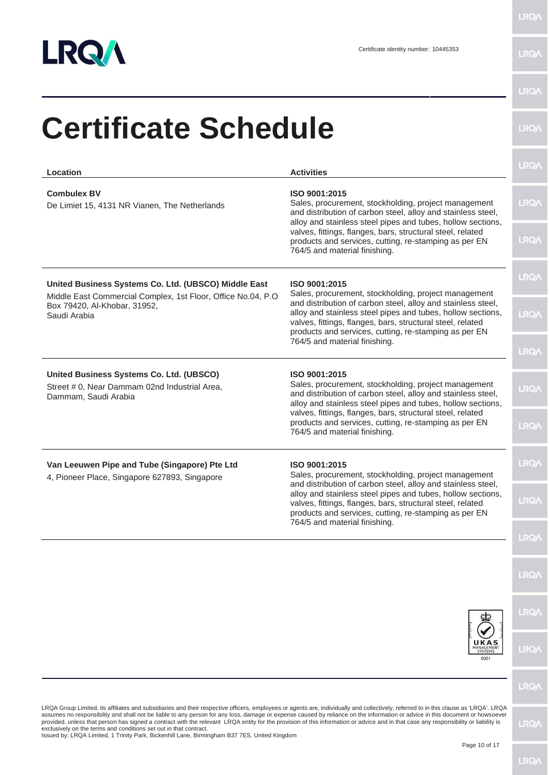

| <b>Certificate Schedule</b>                                                                                                                                                                                                                                                                                                                                                                                                                                                                                                                                                                                                                                                                                                         |                                                                                                                                                                                                                                                    |             |
|-------------------------------------------------------------------------------------------------------------------------------------------------------------------------------------------------------------------------------------------------------------------------------------------------------------------------------------------------------------------------------------------------------------------------------------------------------------------------------------------------------------------------------------------------------------------------------------------------------------------------------------------------------------------------------------------------------------------------------------|----------------------------------------------------------------------------------------------------------------------------------------------------------------------------------------------------------------------------------------------------|-------------|
| Location                                                                                                                                                                                                                                                                                                                                                                                                                                                                                                                                                                                                                                                                                                                            | <b>Activities</b>                                                                                                                                                                                                                                  | <b>LRQA</b> |
| <b>Combulex BV</b><br>De Limiet 15, 4131 NR Vianen, The Netherlands                                                                                                                                                                                                                                                                                                                                                                                                                                                                                                                                                                                                                                                                 | ISO 9001:2015<br>Sales, procurement, stockholding, project management<br>and distribution of carbon steel, alloy and stainless steel,<br>alloy and stainless steel pipes and tubes, hollow sections,                                               | <b>LRQA</b> |
|                                                                                                                                                                                                                                                                                                                                                                                                                                                                                                                                                                                                                                                                                                                                     | valves, fittings, flanges, bars, structural steel, related<br>products and services, cutting, re-stamping as per EN<br>764/5 and material finishing.                                                                                               | <b>LRQA</b> |
| United Business Systems Co. Ltd. (UBSCO) Middle East                                                                                                                                                                                                                                                                                                                                                                                                                                                                                                                                                                                                                                                                                | ISO 9001:2015<br>Sales, procurement, stockholding, project management                                                                                                                                                                              | <b>LRQA</b> |
| Middle East Commercial Complex, 1st Floor, Office No.04, P.O.<br>Box 79420, Al-Khobar, 31952,<br>Saudi Arabia                                                                                                                                                                                                                                                                                                                                                                                                                                                                                                                                                                                                                       | and distribution of carbon steel, alloy and stainless steel,<br>alloy and stainless steel pipes and tubes, hollow sections,<br>valves, fittings, flanges, bars, structural steel, related<br>products and services, cutting, re-stamping as per EN | <b>LRQA</b> |
|                                                                                                                                                                                                                                                                                                                                                                                                                                                                                                                                                                                                                                                                                                                                     | 764/5 and material finishing.                                                                                                                                                                                                                      | <b>LRQA</b> |
| United Business Systems Co. Ltd. (UBSCO)<br>Street # 0, Near Dammam 02nd Industrial Area,<br>Dammam, Saudi Arabia                                                                                                                                                                                                                                                                                                                                                                                                                                                                                                                                                                                                                   | ISO 9001:2015<br>Sales, procurement, stockholding, project management<br>and distribution of carbon steel, alloy and stainless steel,<br>alloy and stainless steel pipes and tubes, hollow sections,                                               | <b>LRQA</b> |
|                                                                                                                                                                                                                                                                                                                                                                                                                                                                                                                                                                                                                                                                                                                                     | valves, fittings, flanges, bars, structural steel, related<br>products and services, cutting, re-stamping as per EN<br>764/5 and material finishing.                                                                                               | <b>LRQA</b> |
| Van Leeuwen Pipe and Tube (Singapore) Pte Ltd<br>ISO 9001:2015<br>Sales, procurement, stockholding, project management<br>4, Pioneer Place, Singapore 627893, Singapore                                                                                                                                                                                                                                                                                                                                                                                                                                                                                                                                                             |                                                                                                                                                                                                                                                    | <b>LRQA</b> |
|                                                                                                                                                                                                                                                                                                                                                                                                                                                                                                                                                                                                                                                                                                                                     | and distribution of carbon steel, alloy and stainless steel,<br>alloy and stainless steel pipes and tubes, hollow sections,<br>valves, fittings, flanges, bars, structural steel, related<br>products and services, cutting, re-stamping as per EN | <b>LRQA</b> |
|                                                                                                                                                                                                                                                                                                                                                                                                                                                                                                                                                                                                                                                                                                                                     | 764/5 and material finishing.                                                                                                                                                                                                                      | <b>LRQA</b> |
|                                                                                                                                                                                                                                                                                                                                                                                                                                                                                                                                                                                                                                                                                                                                     |                                                                                                                                                                                                                                                    | <b>LRQA</b> |
|                                                                                                                                                                                                                                                                                                                                                                                                                                                                                                                                                                                                                                                                                                                                     |                                                                                                                                                                                                                                                    | <b>LRQA</b> |
|                                                                                                                                                                                                                                                                                                                                                                                                                                                                                                                                                                                                                                                                                                                                     | <b>UKAS</b><br>MANAGEMENT<br>0001                                                                                                                                                                                                                  | <b>LRQA</b> |
|                                                                                                                                                                                                                                                                                                                                                                                                                                                                                                                                                                                                                                                                                                                                     |                                                                                                                                                                                                                                                    | <b>LRQA</b> |
| LRQA Group Limited, its affiliates and subsidiaries and their respective officers, employees or agents are, individually and collectively, referred to in this clause as 'LRQA'. LRQA<br>assumes no responsibility and shall not be liable to any person for any loss, damage or expense caused by reliance on the information or advice in this document or howsoever<br>provided, unless that person has signed a contract with the relevant LRQA entity for the provision of this information or advice and in that case any responsibility or liability is<br>exclusively on the terms and conditions set out in that contract.<br>Issued by: LRQA Limited, 1 Trinity Park, Bickenhill Lane, Birmingham B37 7ES, United Kingdom |                                                                                                                                                                                                                                                    | <b>LRQA</b> |
|                                                                                                                                                                                                                                                                                                                                                                                                                                                                                                                                                                                                                                                                                                                                     | Page 10 of 17                                                                                                                                                                                                                                      |             |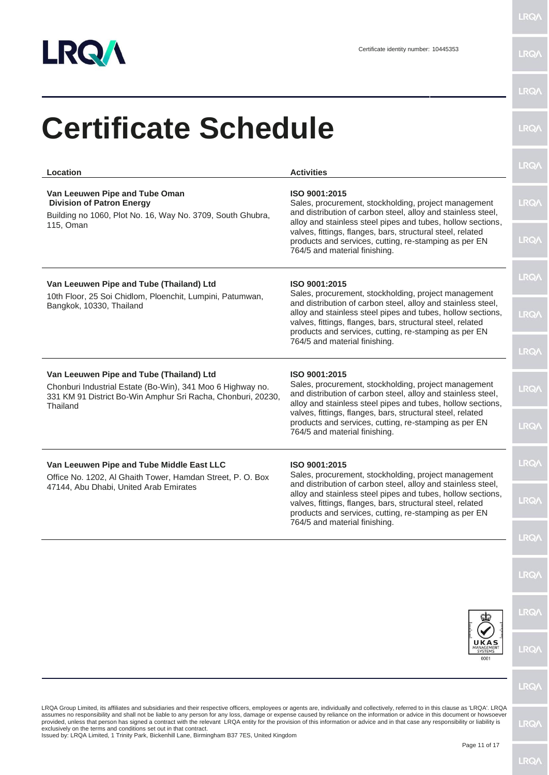

| Location                                                                                                                                                                                                                                                                                                                                                                                                                                                                                                                                                                                                                                                                                                                            | <b>Activities</b>                                                                                                                                                                                                                                                                                                                                            | <b>LRQA</b> |
|-------------------------------------------------------------------------------------------------------------------------------------------------------------------------------------------------------------------------------------------------------------------------------------------------------------------------------------------------------------------------------------------------------------------------------------------------------------------------------------------------------------------------------------------------------------------------------------------------------------------------------------------------------------------------------------------------------------------------------------|--------------------------------------------------------------------------------------------------------------------------------------------------------------------------------------------------------------------------------------------------------------------------------------------------------------------------------------------------------------|-------------|
| Van Leeuwen Pipe and Tube Oman<br><b>Division of Patron Energy</b><br>Building no 1060, Plot No. 16, Way No. 3709, South Ghubra,                                                                                                                                                                                                                                                                                                                                                                                                                                                                                                                                                                                                    | ISO 9001:2015<br>Sales, procurement, stockholding, project management<br>and distribution of carbon steel, alloy and stainless steel,                                                                                                                                                                                                                        | <b>LRQA</b> |
| 115, Oman                                                                                                                                                                                                                                                                                                                                                                                                                                                                                                                                                                                                                                                                                                                           | alloy and stainless steel pipes and tubes, hollow sections,<br>valves, fittings, flanges, bars, structural steel, related<br>products and services, cutting, re-stamping as per EN<br>764/5 and material finishing.                                                                                                                                          | <b>LRQA</b> |
| Van Leeuwen Pipe and Tube (Thailand) Ltd<br>10th Floor, 25 Soi Chidlom, Ploenchit, Lumpini, Patumwan,                                                                                                                                                                                                                                                                                                                                                                                                                                                                                                                                                                                                                               | ISO 9001:2015<br>Sales, procurement, stockholding, project management                                                                                                                                                                                                                                                                                        | <b>LRQA</b> |
| Bangkok, 10330, Thailand                                                                                                                                                                                                                                                                                                                                                                                                                                                                                                                                                                                                                                                                                                            | and distribution of carbon steel, alloy and stainless steel,<br>alloy and stainless steel pipes and tubes, hollow sections,<br>valves, fittings, flanges, bars, structural steel, related<br>products and services, cutting, re-stamping as per EN                                                                                                           | <b>LRQA</b> |
|                                                                                                                                                                                                                                                                                                                                                                                                                                                                                                                                                                                                                                                                                                                                     | 764/5 and material finishing.                                                                                                                                                                                                                                                                                                                                | <b>LRQA</b> |
| Van Leeuwen Pipe and Tube (Thailand) Ltd<br>Chonburi Industrial Estate (Bo-Win), 341 Moo 6 Highway no.<br>331 KM 91 District Bo-Win Amphur Sri Racha, Chonburi, 20230,<br>Thailand                                                                                                                                                                                                                                                                                                                                                                                                                                                                                                                                                  | ISO 9001:2015<br>Sales, procurement, stockholding, project management<br>and distribution of carbon steel, alloy and stainless steel,<br>alloy and stainless steel pipes and tubes, hollow sections,<br>valves, fittings, flanges, bars, structural steel, related<br>products and services, cutting, re-stamping as per EN<br>764/5 and material finishing. | <b>LRQA</b> |
|                                                                                                                                                                                                                                                                                                                                                                                                                                                                                                                                                                                                                                                                                                                                     |                                                                                                                                                                                                                                                                                                                                                              | <b>LRQA</b> |
| Van Leeuwen Pipe and Tube Middle East LLC<br>Office No. 1202, Al Ghaith Tower, Hamdan Street, P. O. Box                                                                                                                                                                                                                                                                                                                                                                                                                                                                                                                                                                                                                             | ISO 9001:2015<br>Sales, procurement, stockholding, project management                                                                                                                                                                                                                                                                                        | <b>LRQA</b> |
| 47144, Abu Dhabi, United Arab Emirates                                                                                                                                                                                                                                                                                                                                                                                                                                                                                                                                                                                                                                                                                              | and distribution of carbon steel, alloy and stainless steel,<br>alloy and stainless steel pipes and tubes, hollow sections,<br>valves, fittings, flanges, bars, structural steel, related<br>products and services, cutting, re-stamping as per EN<br>764/5 and material finishing.                                                                          | <b>LRQA</b> |
|                                                                                                                                                                                                                                                                                                                                                                                                                                                                                                                                                                                                                                                                                                                                     |                                                                                                                                                                                                                                                                                                                                                              | <b>LRQA</b> |
|                                                                                                                                                                                                                                                                                                                                                                                                                                                                                                                                                                                                                                                                                                                                     |                                                                                                                                                                                                                                                                                                                                                              | <b>LRQA</b> |
|                                                                                                                                                                                                                                                                                                                                                                                                                                                                                                                                                                                                                                                                                                                                     |                                                                                                                                                                                                                                                                                                                                                              | <b>LRQA</b> |
|                                                                                                                                                                                                                                                                                                                                                                                                                                                                                                                                                                                                                                                                                                                                     | UKAS<br>MANAGEMENT<br>SYSTEMS<br>0001                                                                                                                                                                                                                                                                                                                        | <b>LRQA</b> |
|                                                                                                                                                                                                                                                                                                                                                                                                                                                                                                                                                                                                                                                                                                                                     |                                                                                                                                                                                                                                                                                                                                                              | <b>LRQA</b> |
| LRQA Group Limited, its affiliates and subsidiaries and their respective officers, employees or agents are, individually and collectively, referred to in this clause as 'LRQA'. LRQA<br>assumes no responsibility and shall not be liable to any person for any loss, damage or expense caused by reliance on the information or advice in this document or howsoever<br>provided, unless that person has signed a contract with the relevant LRQA entity for the provision of this information or advice and in that case any responsibility or liability is<br>exclusively on the terms and conditions set out in that contract.<br>Issued by: LRQA Limited, 1 Trinity Park, Bickenhill Lane, Birmingham B37 7ES, United Kingdom |                                                                                                                                                                                                                                                                                                                                                              | <b>LRQA</b> |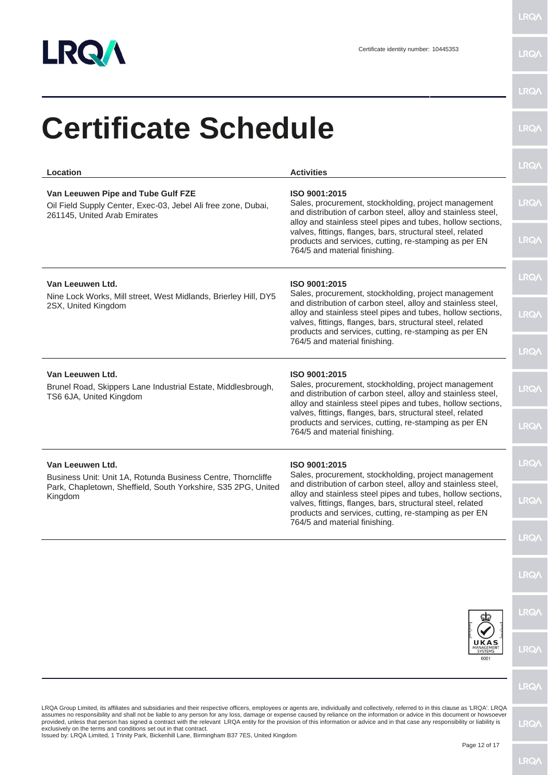

| <b>Certificate Schedule</b>                                                                                                                                                                                                                                                                                                                                                                                                                                                                                                                                                                                                                                                                                                         |                                                                                                                                                                                                                                                    | <b>LRQA</b>  |
|-------------------------------------------------------------------------------------------------------------------------------------------------------------------------------------------------------------------------------------------------------------------------------------------------------------------------------------------------------------------------------------------------------------------------------------------------------------------------------------------------------------------------------------------------------------------------------------------------------------------------------------------------------------------------------------------------------------------------------------|----------------------------------------------------------------------------------------------------------------------------------------------------------------------------------------------------------------------------------------------------|--------------|
| Location                                                                                                                                                                                                                                                                                                                                                                                                                                                                                                                                                                                                                                                                                                                            | <b>Activities</b>                                                                                                                                                                                                                                  | <b>LRQA</b>  |
| Van Leeuwen Pipe and Tube Gulf FZE<br>Oil Field Supply Center, Exec-03, Jebel Ali free zone, Dubai,<br>261145, United Arab Emirates                                                                                                                                                                                                                                                                                                                                                                                                                                                                                                                                                                                                 | ISO 9001:2015<br>Sales, procurement, stockholding, project management<br>and distribution of carbon steel, alloy and stainless steel,<br>alloy and stainless steel pipes and tubes, hollow sections,                                               | <b>LRQA</b>  |
|                                                                                                                                                                                                                                                                                                                                                                                                                                                                                                                                                                                                                                                                                                                                     | valves, fittings, flanges, bars, structural steel, related<br>products and services, cutting, re-stamping as per EN<br>764/5 and material finishing.                                                                                               | <b>LRQA</b>  |
| Van Leeuwen Ltd.<br>Nine Lock Works, Mill street, West Midlands, Brierley Hill, DY5                                                                                                                                                                                                                                                                                                                                                                                                                                                                                                                                                                                                                                                 | ISO 9001:2015<br>Sales, procurement, stockholding, project management                                                                                                                                                                              | <b>LRQA</b>  |
| 2SX, United Kingdom                                                                                                                                                                                                                                                                                                                                                                                                                                                                                                                                                                                                                                                                                                                 | and distribution of carbon steel, alloy and stainless steel,<br>alloy and stainless steel pipes and tubes, hollow sections,<br>valves, fittings, flanges, bars, structural steel, related<br>products and services, cutting, re-stamping as per EN | <b>LRQA</b>  |
|                                                                                                                                                                                                                                                                                                                                                                                                                                                                                                                                                                                                                                                                                                                                     | 764/5 and material finishing.                                                                                                                                                                                                                      | <b>LRQA</b>  |
| Van Leeuwen Ltd.<br>Brunel Road, Skippers Lane Industrial Estate, Middlesbrough,<br>TS6 6JA, United Kingdom                                                                                                                                                                                                                                                                                                                                                                                                                                                                                                                                                                                                                         | ISO 9001:2015<br>Sales, procurement, stockholding, project management<br>and distribution of carbon steel, alloy and stainless steel,<br>alloy and stainless steel pipes and tubes, hollow sections,                                               | <b>LRQA</b>  |
|                                                                                                                                                                                                                                                                                                                                                                                                                                                                                                                                                                                                                                                                                                                                     | valves, fittings, flanges, bars, structural steel, related<br>products and services, cutting, re-stamping as per EN<br>764/5 and material finishing.                                                                                               | <b>LRQA</b>  |
| Van Leeuwen Ltd.<br>Business Unit: Unit 1A, Rotunda Business Centre, Thorncliffe                                                                                                                                                                                                                                                                                                                                                                                                                                                                                                                                                                                                                                                    | ISO 9001:2015<br>Sales, procurement, stockholding, project management                                                                                                                                                                              | <b>LRQA</b>  |
| Park, Chapletown, Sheffield, South Yorkshire, S35 2PG, United<br>Kingdom                                                                                                                                                                                                                                                                                                                                                                                                                                                                                                                                                                                                                                                            | and distribution of carbon steel, alloy and stainless steel,<br>alloy and stainless steel pipes and tubes, hollow sections,<br>valves, fittings, flanges, bars, structural steel, related<br>products and services, cutting, re-stamping as per EN | <b>LRQA</b>  |
|                                                                                                                                                                                                                                                                                                                                                                                                                                                                                                                                                                                                                                                                                                                                     | 764/5 and material finishing.                                                                                                                                                                                                                      | <b>LRQA</b>  |
|                                                                                                                                                                                                                                                                                                                                                                                                                                                                                                                                                                                                                                                                                                                                     |                                                                                                                                                                                                                                                    | <b>LRQA</b>  |
|                                                                                                                                                                                                                                                                                                                                                                                                                                                                                                                                                                                                                                                                                                                                     |                                                                                                                                                                                                                                                    | <b>LRQA</b>  |
|                                                                                                                                                                                                                                                                                                                                                                                                                                                                                                                                                                                                                                                                                                                                     | UKAS<br>MANAGEMENT<br>0001                                                                                                                                                                                                                         | <b>LRQA</b>  |
|                                                                                                                                                                                                                                                                                                                                                                                                                                                                                                                                                                                                                                                                                                                                     |                                                                                                                                                                                                                                                    | <b>LRQA</b>  |
| LRQA Group Limited, its affiliates and subsidiaries and their respective officers, employees or agents are, individually and collectively, referred to in this clause as 'LRQA'. LRQA<br>assumes no responsibility and shall not be liable to any person for any loss, damage or expense caused by reliance on the information or advice in this document or howsoever<br>provided, unless that person has signed a contract with the relevant LRQA entity for the provision of this information or advice and in that case any responsibility or liability is<br>exclusively on the terms and conditions set out in that contract.<br>Issued by: LRQA Limited, 1 Trinity Park, Bickenhill Lane, Birmingham B37 7ES, United Kingdom |                                                                                                                                                                                                                                                    | <b>LRQ/\</b> |
|                                                                                                                                                                                                                                                                                                                                                                                                                                                                                                                                                                                                                                                                                                                                     | Page 12 of 17                                                                                                                                                                                                                                      |              |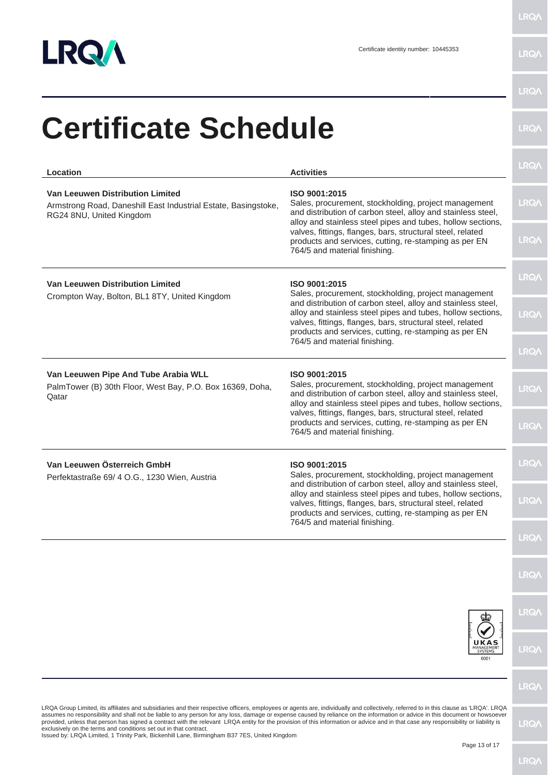

|                                                                                                                                                                                                                                                                                                                                                                                                                                                                                                                                                                                                                                     |                                                                                                                                                                                                                                                    | LRQ/        |
|-------------------------------------------------------------------------------------------------------------------------------------------------------------------------------------------------------------------------------------------------------------------------------------------------------------------------------------------------------------------------------------------------------------------------------------------------------------------------------------------------------------------------------------------------------------------------------------------------------------------------------------|----------------------------------------------------------------------------------------------------------------------------------------------------------------------------------------------------------------------------------------------------|-------------|
| Location                                                                                                                                                                                                                                                                                                                                                                                                                                                                                                                                                                                                                            | <b>Activities</b>                                                                                                                                                                                                                                  |             |
| Van Leeuwen Distribution Limited<br>Armstrong Road, Daneshill East Industrial Estate, Basingstoke,<br>RG24 8NU, United Kingdom                                                                                                                                                                                                                                                                                                                                                                                                                                                                                                      | ISO 9001:2015<br>Sales, procurement, stockholding, project management<br>and distribution of carbon steel, alloy and stainless steel,<br>alloy and stainless steel pipes and tubes, hollow sections,                                               | LRQ/        |
|                                                                                                                                                                                                                                                                                                                                                                                                                                                                                                                                                                                                                                     | valves, fittings, flanges, bars, structural steel, related<br>products and services, cutting, re-stamping as per EN<br>764/5 and material finishing.                                                                                               | <b>LRQ/</b> |
| <b>Van Leeuwen Distribution Limited</b><br>Crompton Way, Bolton, BL1 8TY, United Kingdom                                                                                                                                                                                                                                                                                                                                                                                                                                                                                                                                            | ISO 9001:2015<br>Sales, procurement, stockholding, project management                                                                                                                                                                              | <b>LRQA</b> |
|                                                                                                                                                                                                                                                                                                                                                                                                                                                                                                                                                                                                                                     | and distribution of carbon steel, alloy and stainless steel,<br>alloy and stainless steel pipes and tubes, hollow sections,<br>valves, fittings, flanges, bars, structural steel, related<br>products and services, cutting, re-stamping as per EN | LRQ/        |
|                                                                                                                                                                                                                                                                                                                                                                                                                                                                                                                                                                                                                                     | 764/5 and material finishing.                                                                                                                                                                                                                      | <b>LRQ/</b> |
| Van Leeuwen Pipe And Tube Arabia WLL<br>PalmTower (B) 30th Floor, West Bay, P.O. Box 16369, Doha,<br>Qatar                                                                                                                                                                                                                                                                                                                                                                                                                                                                                                                          | ISO 9001:2015<br>Sales, procurement, stockholding, project management<br>and distribution of carbon steel, alloy and stainless steel,<br>alloy and stainless steel pipes and tubes, hollow sections,                                               | LRQ/        |
|                                                                                                                                                                                                                                                                                                                                                                                                                                                                                                                                                                                                                                     | valves, fittings, flanges, bars, structural steel, related<br>products and services, cutting, re-stamping as per EN<br>764/5 and material finishing.                                                                                               | LRQ/        |
| Van Leeuwen Österreich GmbH<br>Perfektastraße 69/ 4 O.G., 1230 Wien, Austria                                                                                                                                                                                                                                                                                                                                                                                                                                                                                                                                                        | ISO 9001:2015<br>Sales, procurement, stockholding, project management                                                                                                                                                                              | <b>LRQ/</b> |
|                                                                                                                                                                                                                                                                                                                                                                                                                                                                                                                                                                                                                                     | and distribution of carbon steel, alloy and stainless steel,<br>alloy and stainless steel pipes and tubes, hollow sections,<br>valves, fittings, flanges, bars, structural steel, related<br>products and services, cutting, re-stamping as per EN | LRQ/        |
|                                                                                                                                                                                                                                                                                                                                                                                                                                                                                                                                                                                                                                     | 764/5 and material finishing.                                                                                                                                                                                                                      | <b>LRQ/</b> |
|                                                                                                                                                                                                                                                                                                                                                                                                                                                                                                                                                                                                                                     |                                                                                                                                                                                                                                                    | <b>LRQA</b> |
|                                                                                                                                                                                                                                                                                                                                                                                                                                                                                                                                                                                                                                     |                                                                                                                                                                                                                                                    | <b>LRQA</b> |
|                                                                                                                                                                                                                                                                                                                                                                                                                                                                                                                                                                                                                                     | UKAS<br>MANAGEMENT<br>0001                                                                                                                                                                                                                         | LRQ/        |
|                                                                                                                                                                                                                                                                                                                                                                                                                                                                                                                                                                                                                                     |                                                                                                                                                                                                                                                    | <b>LRQA</b> |
| LRQA Group Limited, its affiliates and subsidiaries and their respective officers, employees or agents are, individually and collectively, referred to in this clause as 'LRQA'. LRQA<br>assumes no responsibility and shall not be liable to any person for any loss, damage or expense caused by reliance on the information or advice in this document or howsoever<br>provided, unless that person has signed a contract with the relevant LRQA entity for the provision of this information or advice and in that case any responsibility or liability is<br>exclusively on the terms and conditions set out in that contract. |                                                                                                                                                                                                                                                    | LRQ/        |
| Issued by: LRQA Limited, 1 Trinity Park, Bickenhill Lane, Birmingham B37 7ES, United Kingdom                                                                                                                                                                                                                                                                                                                                                                                                                                                                                                                                        | Page 13 of 17                                                                                                                                                                                                                                      |             |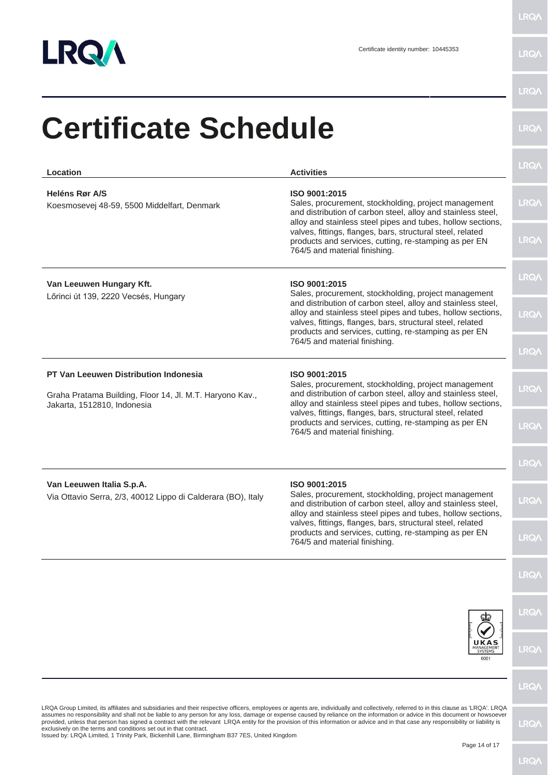

LRQ/

| Location                                                                                                 | <b>Activities</b>                                                                                                                                                                                                                                                                                                                                            | <b>LRQA</b>  |
|----------------------------------------------------------------------------------------------------------|--------------------------------------------------------------------------------------------------------------------------------------------------------------------------------------------------------------------------------------------------------------------------------------------------------------------------------------------------------------|--------------|
| <b>Heléns Rør A/S</b><br>Koesmosevej 48-59, 5500 Middelfart, Denmark                                     | ISO 9001:2015<br>Sales, procurement, stockholding, project management<br>and distribution of carbon steel, alloy and stainless steel,<br>alloy and stainless steel pipes and tubes, hollow sections,                                                                                                                                                         | <b>LRQA</b>  |
|                                                                                                          | valves, fittings, flanges, bars, structural steel, related<br>products and services, cutting, re-stamping as per EN<br>764/5 and material finishing.                                                                                                                                                                                                         | <b>LRQA</b>  |
| Van Leeuwen Hungary Kft.<br>Lőrinci út 139, 2220 Vecsés, Hungary                                         | ISO 9001:2015<br>Sales, procurement, stockholding, project management<br>and distribution of carbon steel, alloy and stainless steel,<br>alloy and stainless steel pipes and tubes, hollow sections,<br>valves, fittings, flanges, bars, structural steel, related<br>products and services, cutting, re-stamping as per EN<br>764/5 and material finishing. | <b>LRQA</b>  |
|                                                                                                          |                                                                                                                                                                                                                                                                                                                                                              | <b>LRQA</b>  |
|                                                                                                          |                                                                                                                                                                                                                                                                                                                                                              | <b>LRQA</b>  |
| <b>PT Van Leeuwen Distribution Indonesia</b><br>Graha Pratama Building, Floor 14, Jl. M.T. Haryono Kav., | ISO 9001:2015<br>Sales, procurement, stockholding, project management<br>and distribution of carbon steel, alloy and stainless steel,                                                                                                                                                                                                                        | <b>LRQA</b>  |
| Jakarta, 1512810, Indonesia                                                                              | alloy and stainless steel pipes and tubes, hollow sections,<br>valves, fittings, flanges, bars, structural steel, related<br>products and services, cutting, re-stamping as per EN<br>764/5 and material finishing.                                                                                                                                          | <b>LRQA</b>  |
|                                                                                                          |                                                                                                                                                                                                                                                                                                                                                              | <b>LRQA</b>  |
| Van Leeuwen Italia S.p.A.<br>Via Ottavio Serra, 2/3, 40012 Lippo di Calderara (BO), Italy                | ISO 9001:2015<br>Sales, procurement, stockholding, project management<br>and distribution of carbon steel, alloy and stainless steel,<br>alloy and stainless steel pipes and tubes, hollow sections,                                                                                                                                                         | <b>LRQ/\</b> |
|                                                                                                          | valves, fittings, flanges, bars, structural steel, related<br>products and services, cutting, re-stamping as per EN<br>764/5 and material finishing.                                                                                                                                                                                                         | <b>LRQA</b>  |
|                                                                                                          |                                                                                                                                                                                                                                                                                                                                                              | <b>LRQA</b>  |
|                                                                                                          |                                                                                                                                                                                                                                                                                                                                                              | <b>LRQA</b>  |
|                                                                                                          | UKAS<br>MANAGEMENT<br>SYSTEMS<br>0001                                                                                                                                                                                                                                                                                                                        | <b>LRQA</b>  |
|                                                                                                          |                                                                                                                                                                                                                                                                                                                                                              | <b>LRQA</b>  |

exclusively on the terms and conditions set out in that contract. Issued by: LRQA Limited, 1 Trinity Park, Bickenhill Lane, Birmingham B37 7ES, United Kingdom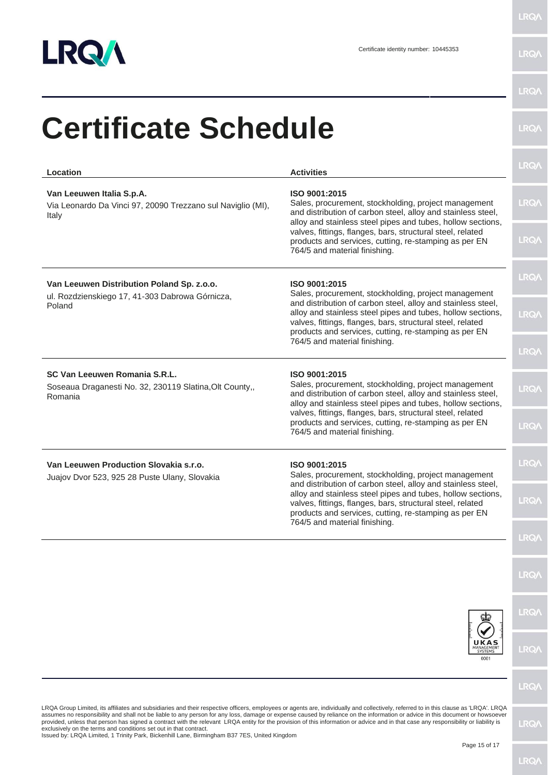

|                                                                                                                                                                                                                                                                                                                                                                                                                                                                                                                                                                                                                                                                                                                                     |                                                                                                                                                                                                                                                                                                                                                              | <b>LRQA</b> |
|-------------------------------------------------------------------------------------------------------------------------------------------------------------------------------------------------------------------------------------------------------------------------------------------------------------------------------------------------------------------------------------------------------------------------------------------------------------------------------------------------------------------------------------------------------------------------------------------------------------------------------------------------------------------------------------------------------------------------------------|--------------------------------------------------------------------------------------------------------------------------------------------------------------------------------------------------------------------------------------------------------------------------------------------------------------------------------------------------------------|-------------|
| <b>Certificate Schedule</b>                                                                                                                                                                                                                                                                                                                                                                                                                                                                                                                                                                                                                                                                                                         |                                                                                                                                                                                                                                                                                                                                                              | <b>LRQA</b> |
| Location                                                                                                                                                                                                                                                                                                                                                                                                                                                                                                                                                                                                                                                                                                                            | <b>Activities</b>                                                                                                                                                                                                                                                                                                                                            | <b>LRQA</b> |
| Van Leeuwen Italia S.p.A.<br>Via Leonardo Da Vinci 97, 20090 Trezzano sul Naviglio (MI),<br>Italy                                                                                                                                                                                                                                                                                                                                                                                                                                                                                                                                                                                                                                   | ISO 9001:2015<br>Sales, procurement, stockholding, project management<br>and distribution of carbon steel, alloy and stainless steel,<br>alloy and stainless steel pipes and tubes, hollow sections,<br>valves, fittings, flanges, bars, structural steel, related<br>products and services, cutting, re-stamping as per EN<br>764/5 and material finishing. | <b>LRQA</b> |
|                                                                                                                                                                                                                                                                                                                                                                                                                                                                                                                                                                                                                                                                                                                                     |                                                                                                                                                                                                                                                                                                                                                              | <b>LRQA</b> |
| Van Leeuwen Distribution Poland Sp. z.o.o.                                                                                                                                                                                                                                                                                                                                                                                                                                                                                                                                                                                                                                                                                          | ISO 9001:2015<br>Sales, procurement, stockholding, project management<br>and distribution of carbon steel, alloy and stainless steel,<br>alloy and stainless steel pipes and tubes, hollow sections,<br>valves, fittings, flanges, bars, structural steel, related<br>products and services, cutting, re-stamping as per EN<br>764/5 and material finishing. | <b>LRQA</b> |
| ul. Rozdzienskiego 17, 41-303 Dabrowa Górnicza,<br>Poland                                                                                                                                                                                                                                                                                                                                                                                                                                                                                                                                                                                                                                                                           |                                                                                                                                                                                                                                                                                                                                                              | <b>LRQA</b> |
|                                                                                                                                                                                                                                                                                                                                                                                                                                                                                                                                                                                                                                                                                                                                     |                                                                                                                                                                                                                                                                                                                                                              | <b>LRQA</b> |
| SC Van Leeuwen Romania S.R.L.<br>Soseaua Draganesti No. 32, 230119 Slatina, Olt County,,<br>Romania                                                                                                                                                                                                                                                                                                                                                                                                                                                                                                                                                                                                                                 | ISO 9001:2015<br>Sales, procurement, stockholding, project management<br>and distribution of carbon steel, alloy and stainless steel,<br>alloy and stainless steel pipes and tubes, hollow sections,                                                                                                                                                         | <b>LRQA</b> |
|                                                                                                                                                                                                                                                                                                                                                                                                                                                                                                                                                                                                                                                                                                                                     | valves, fittings, flanges, bars, structural steel, related<br>products and services, cutting, re-stamping as per EN<br>764/5 and material finishing.                                                                                                                                                                                                         | <b>LRQA</b> |
| Van Leeuwen Production Slovakia s.r.o.<br>Juajov Dvor 523, 925 28 Puste Ulany, Slovakia                                                                                                                                                                                                                                                                                                                                                                                                                                                                                                                                                                                                                                             | ISO 9001:2015<br>Sales, procurement, stockholding, project management<br>and distribution of carbon steel, alloy and stainless steel,<br>alloy and stainless steel pipes and tubes, hollow sections,<br>valves, fittings, flanges, bars, structural steel, related<br>products and services, cutting, re-stamping as per EN                                  | <b>LRQA</b> |
|                                                                                                                                                                                                                                                                                                                                                                                                                                                                                                                                                                                                                                                                                                                                     |                                                                                                                                                                                                                                                                                                                                                              | <b>LRQ/</b> |
|                                                                                                                                                                                                                                                                                                                                                                                                                                                                                                                                                                                                                                                                                                                                     | 764/5 and material finishing.                                                                                                                                                                                                                                                                                                                                | <b>LRQA</b> |
|                                                                                                                                                                                                                                                                                                                                                                                                                                                                                                                                                                                                                                                                                                                                     |                                                                                                                                                                                                                                                                                                                                                              | <b>LRQA</b> |
|                                                                                                                                                                                                                                                                                                                                                                                                                                                                                                                                                                                                                                                                                                                                     |                                                                                                                                                                                                                                                                                                                                                              | <b>LRQA</b> |
|                                                                                                                                                                                                                                                                                                                                                                                                                                                                                                                                                                                                                                                                                                                                     | UKAS<br>MANAGEMENT<br>0001                                                                                                                                                                                                                                                                                                                                   | <b>LRQA</b> |
|                                                                                                                                                                                                                                                                                                                                                                                                                                                                                                                                                                                                                                                                                                                                     |                                                                                                                                                                                                                                                                                                                                                              | <b>LRQ/</b> |
| LRQA Group Limited, its affiliates and subsidiaries and their respective officers, employees or agents are, individually and collectively, referred to in this clause as 'LRQA'. LRQA<br>assumes no responsibility and shall not be liable to any person for any loss, damage or expense caused by reliance on the information or advice in this document or howsoever<br>provided, unless that person has signed a contract with the relevant LRQA entity for the provision of this information or advice and in that case any responsibility or liability is<br>exclusively on the terms and conditions set out in that contract.<br>Issued by: LRQA Limited, 1 Trinity Park, Bickenhill Lane, Birmingham B37 7ES, United Kingdom |                                                                                                                                                                                                                                                                                                                                                              | <b>LRQA</b> |
|                                                                                                                                                                                                                                                                                                                                                                                                                                                                                                                                                                                                                                                                                                                                     | Page 15 of 17                                                                                                                                                                                                                                                                                                                                                |             |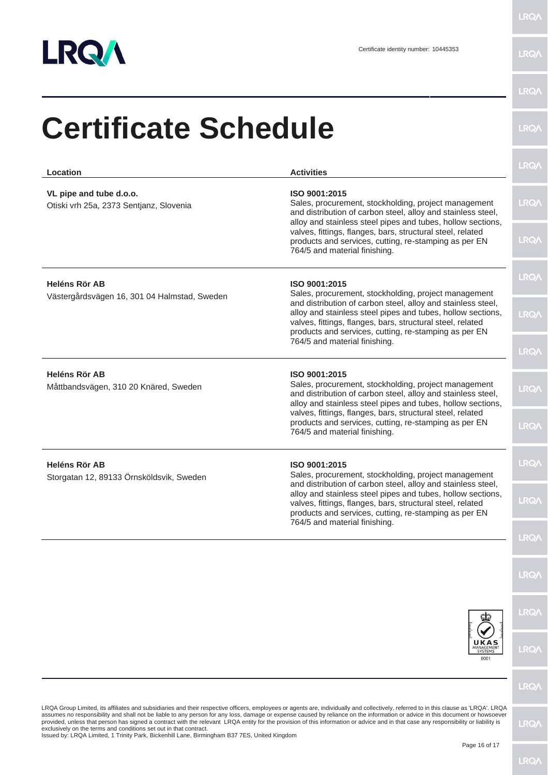

| Location                                                                                                                                                                                                                                                                                                                                                                                                                                                                                                                                                                                                                                                                                                                            | <b>Activities</b>                                                                                                                                                                                                                                                                                                           | <b>LRQA</b> |  |
|-------------------------------------------------------------------------------------------------------------------------------------------------------------------------------------------------------------------------------------------------------------------------------------------------------------------------------------------------------------------------------------------------------------------------------------------------------------------------------------------------------------------------------------------------------------------------------------------------------------------------------------------------------------------------------------------------------------------------------------|-----------------------------------------------------------------------------------------------------------------------------------------------------------------------------------------------------------------------------------------------------------------------------------------------------------------------------|-------------|--|
| VL pipe and tube d.o.o.<br>Otiski vrh 25a, 2373 Sentjanz, Slovenia                                                                                                                                                                                                                                                                                                                                                                                                                                                                                                                                                                                                                                                                  | ISO 9001:2015<br>Sales, procurement, stockholding, project management<br>and distribution of carbon steel, alloy and stainless steel,<br>alloy and stainless steel pipes and tubes, hollow sections,                                                                                                                        | <b>LRQ/</b> |  |
|                                                                                                                                                                                                                                                                                                                                                                                                                                                                                                                                                                                                                                                                                                                                     | valves, fittings, flanges, bars, structural steel, related<br>products and services, cutting, re-stamping as per EN<br>764/5 and material finishing.                                                                                                                                                                        | <b>LRQA</b> |  |
| <b>Heléns Rör AB</b><br>Västergårdsvägen 16, 301 04 Halmstad, Sweden                                                                                                                                                                                                                                                                                                                                                                                                                                                                                                                                                                                                                                                                | ISO 9001:2015<br>Sales, procurement, stockholding, project management<br>and distribution of carbon steel, alloy and stainless steel,<br>alloy and stainless steel pipes and tubes, hollow sections,<br>valves, fittings, flanges, bars, structural steel, related<br>products and services, cutting, re-stamping as per EN | <b>LRQ/</b> |  |
|                                                                                                                                                                                                                                                                                                                                                                                                                                                                                                                                                                                                                                                                                                                                     |                                                                                                                                                                                                                                                                                                                             | <b>LRQA</b> |  |
|                                                                                                                                                                                                                                                                                                                                                                                                                                                                                                                                                                                                                                                                                                                                     | 764/5 and material finishing.                                                                                                                                                                                                                                                                                               | <b>LRQA</b> |  |
| <b>Heléns Rör AB</b><br>Måttbandsvägen, 310 20 Knäred, Sweden                                                                                                                                                                                                                                                                                                                                                                                                                                                                                                                                                                                                                                                                       | ISO 9001:2015<br>Sales, procurement, stockholding, project management<br>and distribution of carbon steel, alloy and stainless steel,<br>alloy and stainless steel pipes and tubes, hollow sections,                                                                                                                        | <b>LRQA</b> |  |
|                                                                                                                                                                                                                                                                                                                                                                                                                                                                                                                                                                                                                                                                                                                                     | valves, fittings, flanges, bars, structural steel, related<br>products and services, cutting, re-stamping as per EN<br>764/5 and material finishing.                                                                                                                                                                        | <b>LRQA</b> |  |
| <b>Heléns Rör AB</b><br>Storgatan 12, 89133 Örnsköldsvik, Sweden                                                                                                                                                                                                                                                                                                                                                                                                                                                                                                                                                                                                                                                                    | ISO 9001:2015<br>Sales, procurement, stockholding, project management                                                                                                                                                                                                                                                       | <b>LRQA</b> |  |
|                                                                                                                                                                                                                                                                                                                                                                                                                                                                                                                                                                                                                                                                                                                                     | and distribution of carbon steel, alloy and stainless steel,<br>alloy and stainless steel pipes and tubes, hollow sections,<br>valves, fittings, flanges, bars, structural steel, related<br>products and services, cutting, re-stamping as per EN<br>764/5 and material finishing.                                         | <b>LRQ/</b> |  |
|                                                                                                                                                                                                                                                                                                                                                                                                                                                                                                                                                                                                                                                                                                                                     |                                                                                                                                                                                                                                                                                                                             | <b>LRQA</b> |  |
|                                                                                                                                                                                                                                                                                                                                                                                                                                                                                                                                                                                                                                                                                                                                     |                                                                                                                                                                                                                                                                                                                             | <b>LRQA</b> |  |
|                                                                                                                                                                                                                                                                                                                                                                                                                                                                                                                                                                                                                                                                                                                                     |                                                                                                                                                                                                                                                                                                                             | <b>LRQA</b> |  |
|                                                                                                                                                                                                                                                                                                                                                                                                                                                                                                                                                                                                                                                                                                                                     | UKAS<br>MANAGEMENT<br>0001                                                                                                                                                                                                                                                                                                  | <b>LRQA</b> |  |
|                                                                                                                                                                                                                                                                                                                                                                                                                                                                                                                                                                                                                                                                                                                                     |                                                                                                                                                                                                                                                                                                                             | <b>LRQA</b> |  |
| LRQA Group Limited, its affiliates and subsidiaries and their respective officers, employees or agents are, individually and collectively, referred to in this clause as 'LRQA'. LRQA<br>assumes no responsibility and shall not be liable to any person for any loss, damage or expense caused by reliance on the information or advice in this document or howsoever<br>provided, unless that person has signed a contract with the relevant LRQA entity for the provision of this information or advice and in that case any responsibility or liability is<br>exclusively on the terms and conditions set out in that contract.<br>Issued by: LRQA Limited, 1 Trinity Park, Bickenhill Lane, Birmingham B37 7ES, United Kingdom |                                                                                                                                                                                                                                                                                                                             |             |  |
|                                                                                                                                                                                                                                                                                                                                                                                                                                                                                                                                                                                                                                                                                                                                     | Page 16 of 17                                                                                                                                                                                                                                                                                                               | <b>LRQA</b> |  |